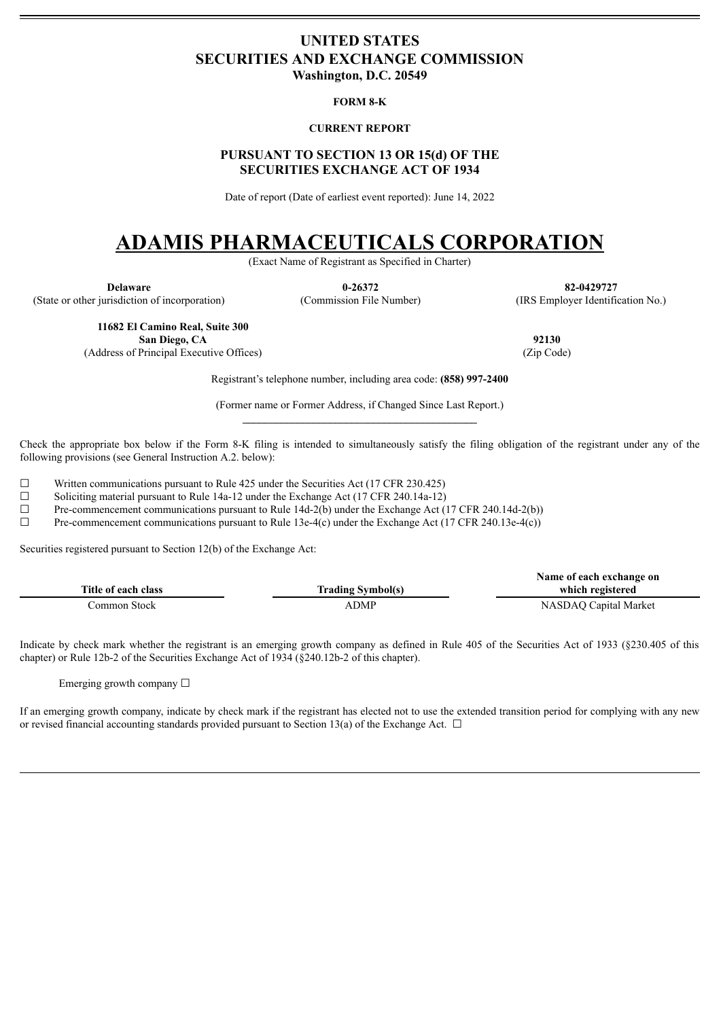# <span id="page-0-0"></span>**UNITED STATES SECURITIES AND EXCHANGE COMMISSION Washington, D.C. 20549**

# **FORM 8-K**

# **CURRENT REPORT**

# **PURSUANT TO SECTION 13 OR 15(d) OF THE SECURITIES EXCHANGE ACT OF 1934**

Date of report (Date of earliest event reported): June 14, 2022

# **ADAMIS PHARMACEUTICALS CORPORATION**

(Exact Name of Registrant as Specified in Charter)

(State or other jurisdiction of incorporation) (Commission File Number) (IRS Employer Identification No.)

**Delaware 0-26372 82-0429727**

**11682 El Camino Real, Suite 300 San Diego, CA 92130**

(Address of Principal Executive Offices) (Zip Code)

Registrant's telephone number, including area code: **(858) 997-2400**

(Former name or Former Address, if Changed Since Last Report.)

Check the appropriate box below if the Form 8-K filing is intended to simultaneously satisfy the filing obligation of the registrant under any of the following provisions (see General Instruction A.2. below):

 $\Box$  Written communications pursuant to Rule 425 under the Securities Act (17 CFR 230.425) <br>Soliciting material pursuant to Rule 14a-12 under the Exchange Act (17 CFR 240.14a-12)

Soliciting material pursuant to Rule 14a-12 under the Exchange Act (17 CFR 240.14a-12)

 $\Box$  Pre-commencement communications pursuant to Rule 14d-2(b) under the Exchange Act (17 CFR 240.14d-2(b))

 $\Box$  Pre-commencement communications pursuant to Rule 13e-4(c) under the Exchange Act (17 CFR 240.13e-4(c))

Securities registered pursuant to Section 12(b) of the Exchange Act:

|                     |                          | Name of each exchange on |
|---------------------|--------------------------|--------------------------|
| Title of each class | <b>Trading Symbol(s)</b> | which registered         |
| Common Stock-       | ADMP                     | NASDAQ Capital Market    |

Indicate by check mark whether the registrant is an emerging growth company as defined in Rule 405 of the Securities Act of 1933 (§230.405 of this chapter) or Rule 12b-2 of the Securities Exchange Act of 1934 (§240.12b-2 of this chapter).

Emerging growth company  $\Box$ 

If an emerging growth company, indicate by check mark if the registrant has elected not to use the extended transition period for complying with any new or revised financial accounting standards provided pursuant to Section 13(a) of the Exchange Act.  $\Box$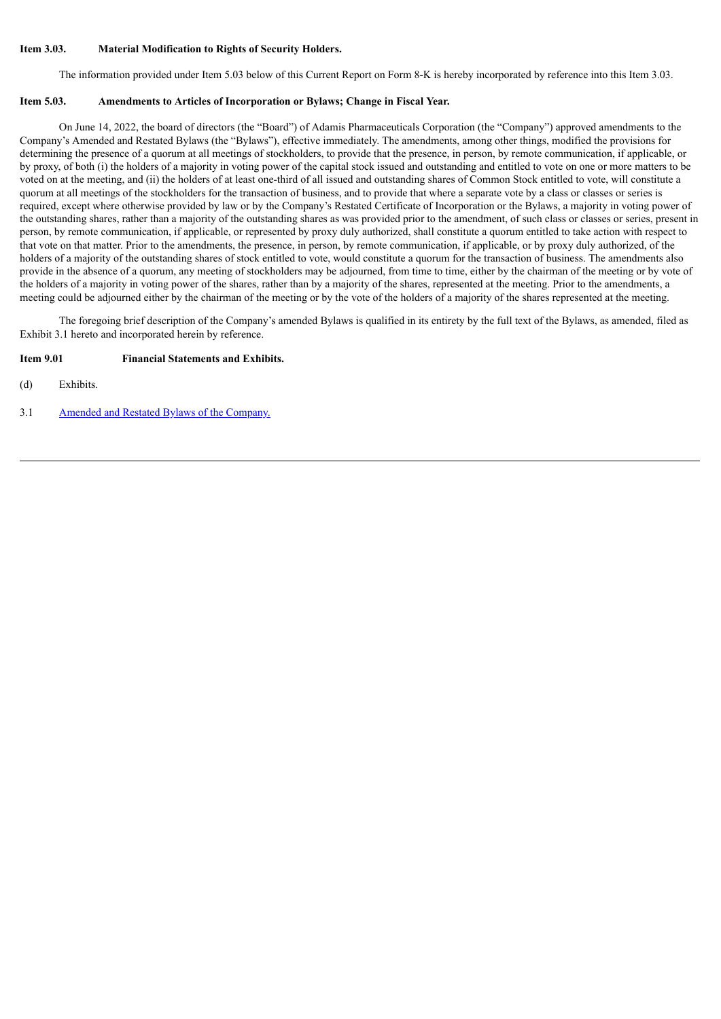# **Item 3.03. Material Modification to Rights of Security Holders.**

The information provided under Item 5.03 below of this Current Report on Form 8-K is hereby incorporated by reference into this Item 3.03.

# **Item 5.03. Amendments to Articles of Incorporation or Bylaws; Change in Fiscal Year.**

On June 14, 2022, the board of directors (the "Board") of Adamis Pharmaceuticals Corporation (the "Company") approved amendments to the Company's Amended and Restated Bylaws (the "Bylaws"), effective immediately. The amendments, among other things, modified the provisions for determining the presence of a quorum at all meetings of stockholders, to provide that the presence, in person, by remote communication, if applicable, or by proxy, of both (i) the holders of a majority in voting power of the capital stock issued and outstanding and entitled to vote on one or more matters to be voted on at the meeting, and (ii) the holders of at least one-third of all issued and outstanding shares of Common Stock entitled to vote, will constitute a quorum at all meetings of the stockholders for the transaction of business, and to provide that where a separate vote by a class or classes or series is required, except where otherwise provided by law or by the Company's Restated Certificate of Incorporation or the Bylaws, a majority in voting power of the outstanding shares, rather than a majority of the outstanding shares as was provided prior to the amendment, of such class or classes or series, present in person, by remote communication, if applicable, or represented by proxy duly authorized, shall constitute a quorum entitled to take action with respect to that vote on that matter. Prior to the amendments, the presence, in person, by remote communication, if applicable, or by proxy duly authorized, of the holders of a majority of the outstanding shares of stock entitled to vote, would constitute a quorum for the transaction of business. The amendments also provide in the absence of a quorum, any meeting of stockholders may be adjourned, from time to time, either by the chairman of the meeting or by vote of the holders of a majority in voting power of the shares, rather than by a majority of the shares, represented at the meeting. Prior to the amendments, a meeting could be adjourned either by the chairman of the meeting or by the vote of the holders of a majority of the shares represented at the meeting.

The foregoing brief description of the Company's amended Bylaws is qualified in its entirety by the full text of the Bylaws, as amended, filed as Exhibit 3.1 hereto and incorporated herein by reference.

# **Item 9.01 Financial Statements and Exhibits.**

(d) Exhibits.

3.1 Amended and Restated Bylaws of the [Company.](#page-3-0)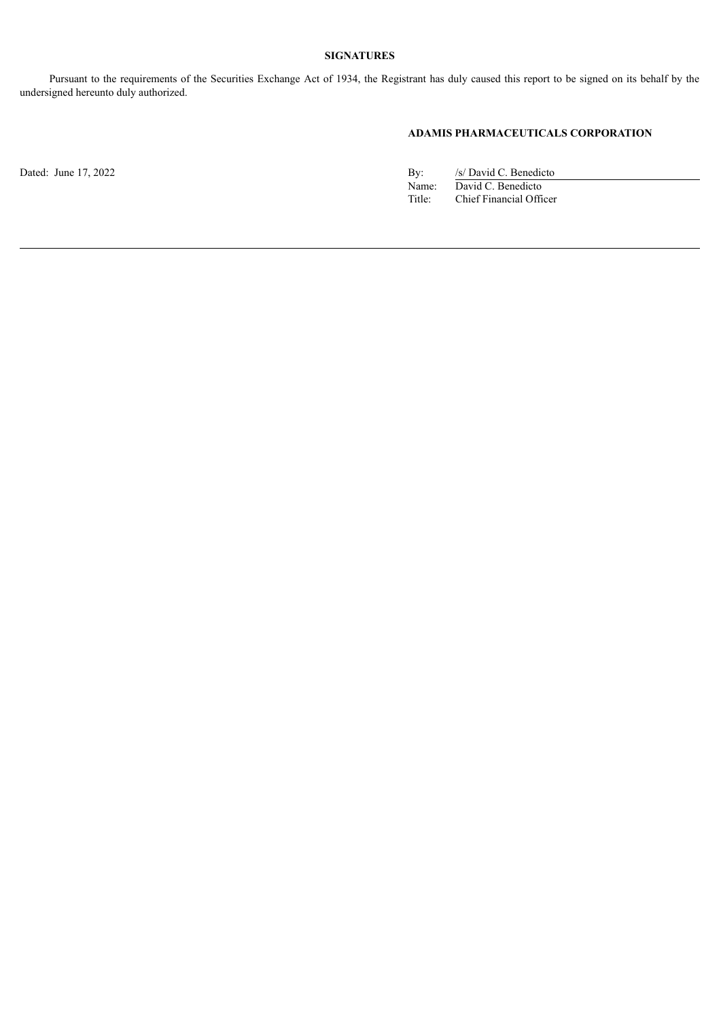# **SIGNATURES**

Pursuant to the requirements of the Securities Exchange Act of 1934, the Registrant has duly caused this report to be signed on its behalf by the undersigned hereunto duly authorized.

# **ADAMIS PHARMACEUTICALS CORPORATION**

Dated: June 17, 2022 By: /s/ David C. Benedicto Name: David C. Benedicto Title: Chief Financial Officer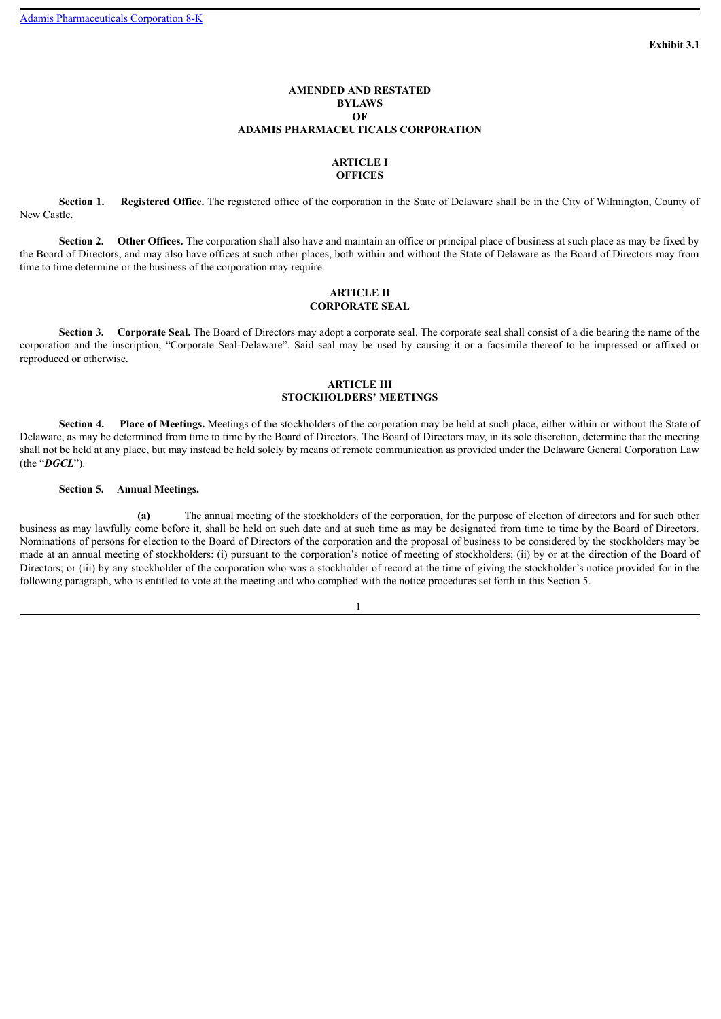# **AMENDED AND RESTATED BYLAWS OF ADAMIS PHARMACEUTICALS CORPORATION**

# **ARTICLE I OFFICES**

<span id="page-3-0"></span>**Section 1. Registered Office.** The registered office of the corporation in the State of Delaware shall be in the City of Wilmington, County of New Castle.

**Section 2.** Other Offices. The corporation shall also have and maintain an office or principal place of business at such place as may be fixed by the Board of Directors, and may also have offices at such other places, both within and without the State of Delaware as the Board of Directors may from time to time determine or the business of the corporation may require.

# **ARTICLE II CORPORATE SEAL**

**Section 3. Corporate Seal.** The Board of Directors may adopt a corporate seal. The corporate seal shall consist of a die bearing the name of the corporation and the inscription, "Corporate Seal-Delaware". Said seal may be used by causing it or a facsimile thereof to be impressed or affixed or reproduced or otherwise.

# **ARTICLE III STOCKHOLDERS' MEETINGS**

**Section 4. Place of Meetings.** Meetings of the stockholders of the corporation may be held at such place, either within or without the State of Delaware, as may be determined from time to time by the Board of Directors. The Board of Directors may, in its sole discretion, determine that the meeting shall not be held at any place, but may instead be held solely by means of remote communication as provided under the Delaware General Corporation Law (the "*DGCL*").

## **Section 5. Annual Meetings.**

**(a)** The annual meeting of the stockholders of the corporation, for the purpose of election of directors and for such other business as may lawfully come before it, shall be held on such date and at such time as may be designated from time to time by the Board of Directors. Nominations of persons for election to the Board of Directors of the corporation and the proposal of business to be considered by the stockholders may be made at an annual meeting of stockholders: (i) pursuant to the corporation's notice of meeting of stockholders; (ii) by or at the direction of the Board of Directors; or (iii) by any stockholder of the corporation who was a stockholder of record at the time of giving the stockholder's notice provided for in the following paragraph, who is entitled to vote at the meeting and who complied with the notice procedures set forth in this Section 5.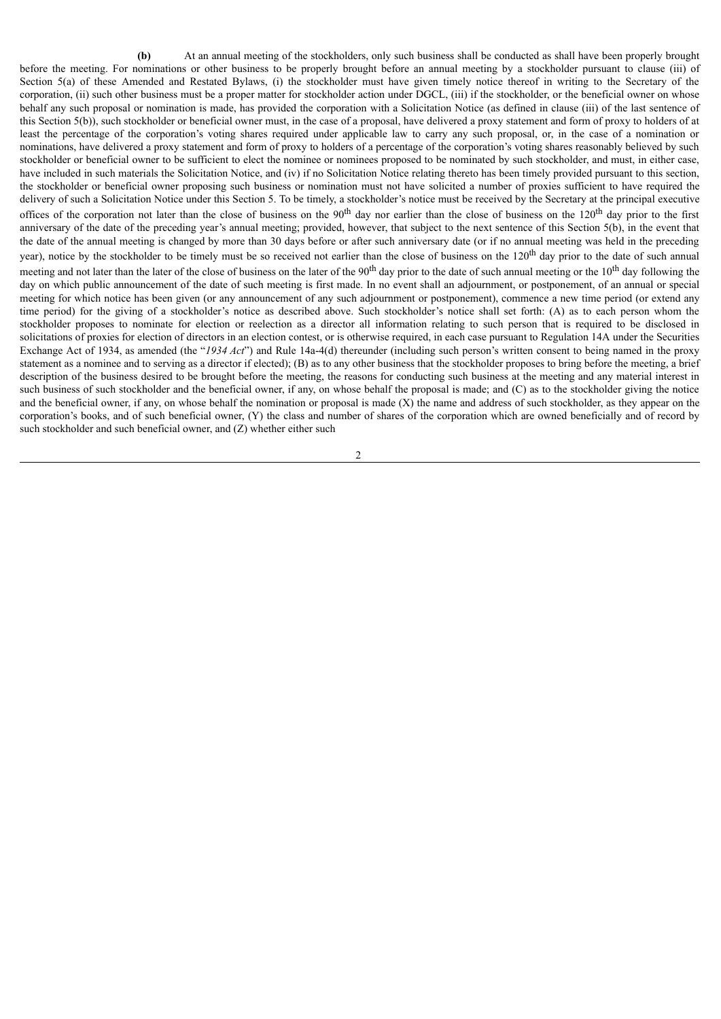**(b)** At an annual meeting of the stockholders, only such business shall be conducted as shall have been properly brought before the meeting. For nominations or other business to be properly brought before an annual meeting by a stockholder pursuant to clause (iii) of Section 5(a) of these Amended and Restated Bylaws, (i) the stockholder must have given timely notice thereof in writing to the Secretary of the corporation, (ii) such other business must be a proper matter for stockholder action under DGCL, (iii) if the stockholder, or the beneficial owner on whose behalf any such proposal or nomination is made, has provided the corporation with a Solicitation Notice (as defined in clause (iii) of the last sentence of this Section 5(b)), such stockholder or beneficial owner must, in the case of a proposal, have delivered a proxy statement and form of proxy to holders of at least the percentage of the corporation's voting shares required under applicable law to carry any such proposal, or, in the case of a nomination or nominations, have delivered a proxy statement and form of proxy to holders of a percentage of the corporation's voting shares reasonably believed by such stockholder or beneficial owner to be sufficient to elect the nominee or nominees proposed to be nominated by such stockholder, and must, in either case, have included in such materials the Solicitation Notice, and (iv) if no Solicitation Notice relating thereto has been timely provided pursuant to this section, the stockholder or beneficial owner proposing such business or nomination must not have solicited a number of proxies sufficient to have required the delivery of such a Solicitation Notice under this Section 5. To be timely, a stockholder's notice must be received by the Secretary at the principal executive offices of the corporation not later than the close of business on the  $90<sup>th</sup>$  day nor earlier than the close of business on the 120<sup>th</sup> day prior to the first anniversary of the date of the preceding year's annual meeting; provided, however, that subject to the next sentence of this Section 5(b), in the event that the date of the annual meeting is changed by more than 30 days before or after such anniversary date (or if no annual meeting was held in the preceding year), notice by the stockholder to be timely must be so received not earlier than the close of business on the 120<sup>th</sup> day prior to the date of such annual meeting and not later than the later of the close of business on the later of the 90<sup>th</sup> day prior to the date of such annual meeting or the 10<sup>th</sup> day following the day on which public announcement of the date of such meeting is first made. In no event shall an adjournment, or postponement, of an annual or special meeting for which notice has been given (or any announcement of any such adjournment or postponement), commence a new time period (or extend any time period) for the giving of a stockholder's notice as described above. Such stockholder's notice shall set forth: (A) as to each person whom the stockholder proposes to nominate for election or reelection as a director all information relating to such person that is required to be disclosed in solicitations of proxies for election of directors in an election contest, or is otherwise required, in each case pursuant to Regulation 14A under the Securities Exchange Act of 1934, as amended (the "*1934 Act*") and Rule 14a-4(d) thereunder (including such person's written consent to being named in the proxy statement as a nominee and to serving as a director if elected); (B) as to any other business that the stockholder proposes to bring before the meeting, a brief description of the business desired to be brought before the meeting, the reasons for conducting such business at the meeting and any material interest in such business of such stockholder and the beneficial owner, if any, on whose behalf the proposal is made; and (C) as to the stockholder giving the notice and the beneficial owner, if any, on whose behalf the nomination or proposal is made  $(X)$  the name and address of such stockholder, as they appear on the corporation's books, and of such beneficial owner, (Y) the class and number of shares of the corporation which are owned beneficially and of record by such stockholder and such beneficial owner, and (Z) whether either such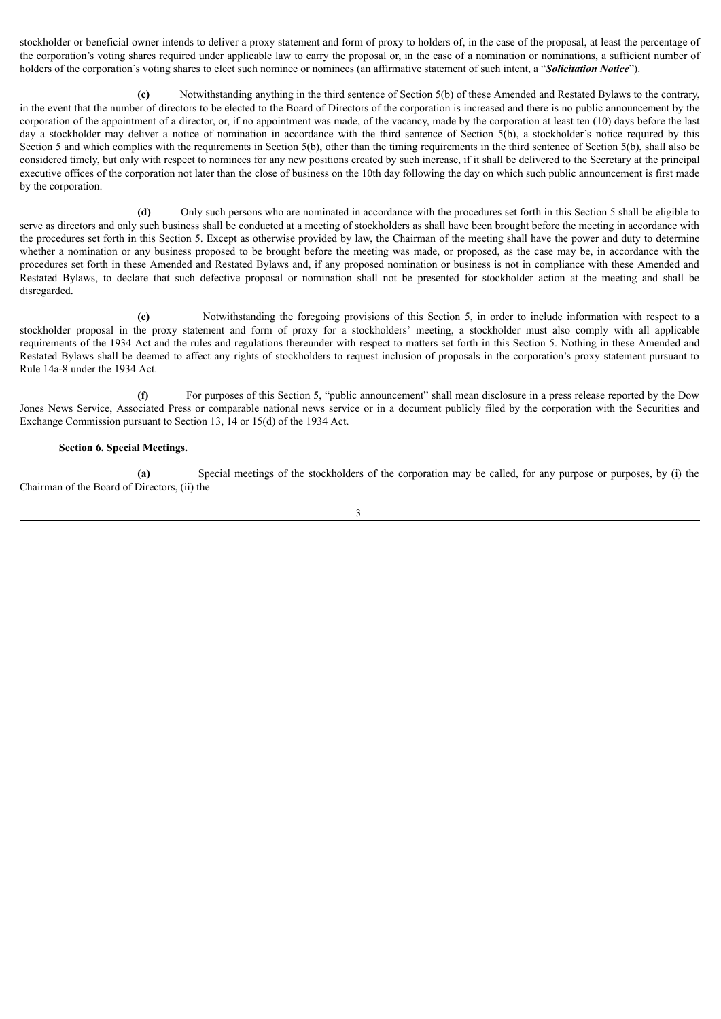stockholder or beneficial owner intends to deliver a proxy statement and form of proxy to holders of, in the case of the proposal, at least the percentage of the corporation's voting shares required under applicable law to carry the proposal or, in the case of a nomination or nominations, a sufficient number of holders of the corporation's voting shares to elect such nominee or nominees (an affirmative statement of such intent, a "*Solicitation Notice*").

**(c)** Notwithstanding anything in the third sentence of Section 5(b) of these Amended and Restated Bylaws to the contrary, in the event that the number of directors to be elected to the Board of Directors of the corporation is increased and there is no public announcement by the corporation of the appointment of a director, or, if no appointment was made, of the vacancy, made by the corporation at least ten (10) days before the last day a stockholder may deliver a notice of nomination in accordance with the third sentence of Section 5(b), a stockholder's notice required by this Section 5 and which complies with the requirements in Section 5(b), other than the timing requirements in the third sentence of Section 5(b), shall also be considered timely, but only with respect to nominees for any new positions created by such increase, if it shall be delivered to the Secretary at the principal executive offices of the corporation not later than the close of business on the 10th day following the day on which such public announcement is first made by the corporation.

**(d)** Only such persons who are nominated in accordance with the procedures set forth in this Section 5 shall be eligible to serve as directors and only such business shall be conducted at a meeting of stockholders as shall have been brought before the meeting in accordance with the procedures set forth in this Section 5. Except as otherwise provided by law, the Chairman of the meeting shall have the power and duty to determine whether a nomination or any business proposed to be brought before the meeting was made, or proposed, as the case may be, in accordance with the procedures set forth in these Amended and Restated Bylaws and, if any proposed nomination or business is not in compliance with these Amended and Restated Bylaws, to declare that such defective proposal or nomination shall not be presented for stockholder action at the meeting and shall be disregarded.

**(e)** Notwithstanding the foregoing provisions of this Section 5, in order to include information with respect to a stockholder proposal in the proxy statement and form of proxy for a stockholders' meeting, a stockholder must also comply with all applicable requirements of the 1934 Act and the rules and regulations thereunder with respect to matters set forth in this Section 5. Nothing in these Amended and Restated Bylaws shall be deemed to affect any rights of stockholders to request inclusion of proposals in the corporation's proxy statement pursuant to Rule 14a-8 under the 1934 Act.

**(f)** For purposes of this Section 5, "public announcement" shall mean disclosure in a press release reported by the Dow Jones News Service, Associated Press or comparable national news service or in a document publicly filed by the corporation with the Securities and Exchange Commission pursuant to Section 13, 14 or 15(d) of the 1934 Act.

### **Section 6. Special Meetings.**

**(a)** Special meetings of the stockholders of the corporation may be called, for any purpose or purposes, by (i) the Chairman of the Board of Directors, (ii) the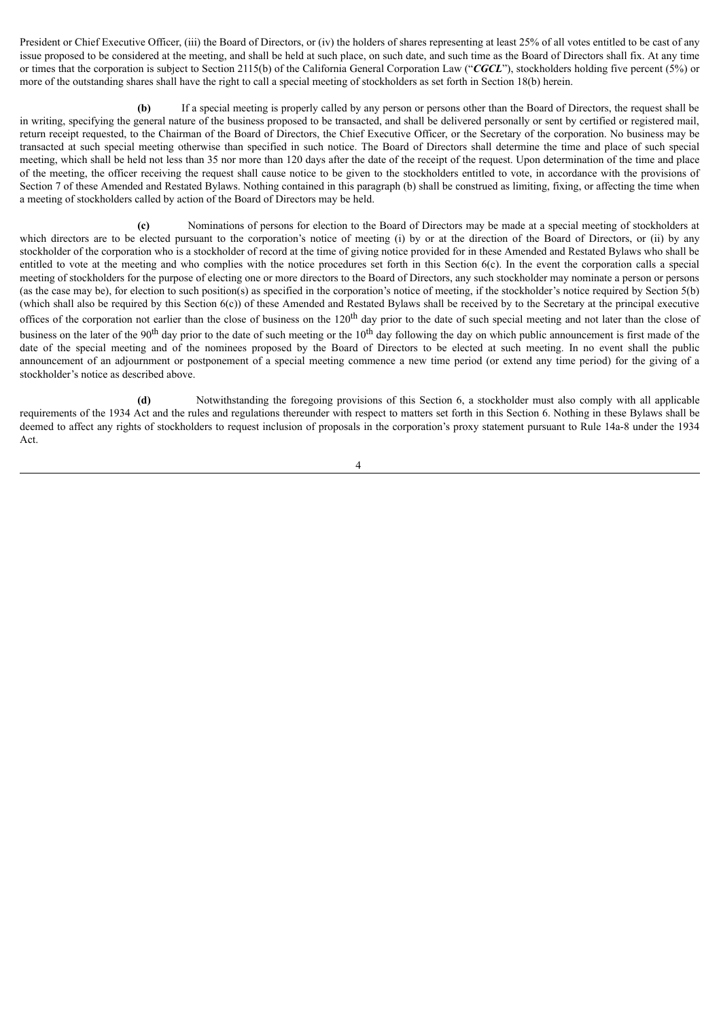President or Chief Executive Officer, (iii) the Board of Directors, or (iv) the holders of shares representing at least 25% of all votes entitled to be cast of any issue proposed to be considered at the meeting, and shall be held at such place, on such date, and such time as the Board of Directors shall fix. At any time or times that the corporation is subject to Section 2115(b) of the California General Corporation Law ("*CGCL*"), stockholders holding five percent (5%) or more of the outstanding shares shall have the right to call a special meeting of stockholders as set forth in Section 18(b) herein.

**(b)** If a special meeting is properly called by any person or persons other than the Board of Directors, the request shall be in writing, specifying the general nature of the business proposed to be transacted, and shall be delivered personally or sent by certified or registered mail, return receipt requested, to the Chairman of the Board of Directors, the Chief Executive Officer, or the Secretary of the corporation. No business may be transacted at such special meeting otherwise than specified in such notice. The Board of Directors shall determine the time and place of such special meeting, which shall be held not less than 35 nor more than 120 days after the date of the receipt of the request. Upon determination of the time and place of the meeting, the officer receiving the request shall cause notice to be given to the stockholders entitled to vote, in accordance with the provisions of Section 7 of these Amended and Restated Bylaws. Nothing contained in this paragraph (b) shall be construed as limiting, fixing, or affecting the time when a meeting of stockholders called by action of the Board of Directors may be held.

**(c)** Nominations of persons for election to the Board of Directors may be made at a special meeting of stockholders at which directors are to be elected pursuant to the corporation's notice of meeting (i) by or at the direction of the Board of Directors, or (ii) by any stockholder of the corporation who is a stockholder of record at the time of giving notice provided for in these Amended and Restated Bylaws who shall be entitled to vote at the meeting and who complies with the notice procedures set forth in this Section 6(c). In the event the corporation calls a special meeting of stockholders for the purpose of electing one or more directors to the Board of Directors, any such stockholder may nominate a person or persons (as the case may be), for election to such position(s) as specified in the corporation's notice of meeting, if the stockholder's notice required by Section 5(b) (which shall also be required by this Section 6(c)) of these Amended and Restated Bylaws shall be received by to the Secretary at the principal executive offices of the corporation not earlier than the close of business on the  $120<sup>th</sup>$  day prior to the date of such special meeting and not later than the close of business on the later of the 90<sup>th</sup> day prior to the date of such meeting or the  $10<sup>th</sup>$  day following the day on which public announcement is first made of the date of the special meeting and of the nominees proposed by the Board of Directors to be elected at such meeting. In no event shall the public announcement of an adjournment or postponement of a special meeting commence a new time period (or extend any time period) for the giving of a stockholder's notice as described above.

**(d)** Notwithstanding the foregoing provisions of this Section 6, a stockholder must also comply with all applicable requirements of the 1934 Act and the rules and regulations thereunder with respect to matters set forth in this Section 6. Nothing in these Bylaws shall be deemed to affect any rights of stockholders to request inclusion of proposals in the corporation's proxy statement pursuant to Rule 14a-8 under the 1934 Act.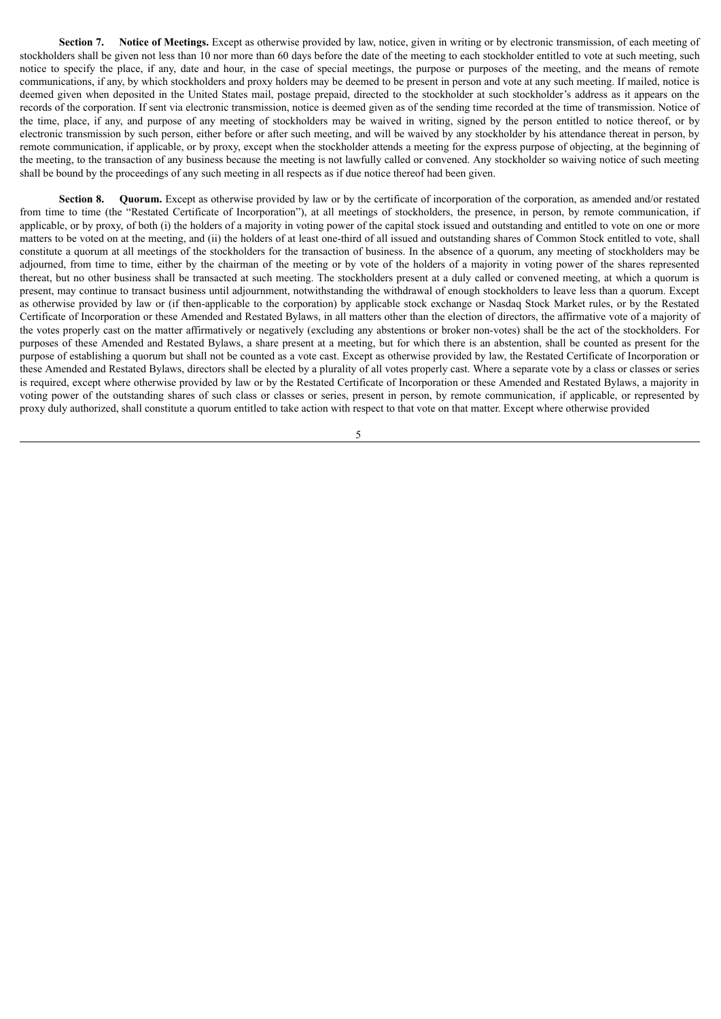**Section 7. Notice of Meetings.** Except as otherwise provided by law, notice, given in writing or by electronic transmission, of each meeting of stockholders shall be given not less than 10 nor more than 60 days before the date of the meeting to each stockholder entitled to vote at such meeting, such notice to specify the place, if any, date and hour, in the case of special meetings, the purpose or purposes of the meeting, and the means of remote communications, if any, by which stockholders and proxy holders may be deemed to be present in person and vote at any such meeting. If mailed, notice is deemed given when deposited in the United States mail, postage prepaid, directed to the stockholder at such stockholder's address as it appears on the records of the corporation. If sent via electronic transmission, notice is deemed given as of the sending time recorded at the time of transmission. Notice of the time, place, if any, and purpose of any meeting of stockholders may be waived in writing, signed by the person entitled to notice thereof, or by electronic transmission by such person, either before or after such meeting, and will be waived by any stockholder by his attendance thereat in person, by remote communication, if applicable, or by proxy, except when the stockholder attends a meeting for the express purpose of objecting, at the beginning of the meeting, to the transaction of any business because the meeting is not lawfully called or convened. Any stockholder so waiving notice of such meeting shall be bound by the proceedings of any such meeting in all respects as if due notice thereof had been given.

**Section 8. Quorum.** Except as otherwise provided by law or by the certificate of incorporation of the corporation, as amended and/or restated from time to time (the "Restated Certificate of Incorporation"), at all meetings of stockholders, the presence, in person, by remote communication, if applicable, or by proxy, of both (i) the holders of a majority in voting power of the capital stock issued and outstanding and entitled to vote on one or more matters to be voted on at the meeting, and (ii) the holders of at least one-third of all issued and outstanding shares of Common Stock entitled to vote, shall constitute a quorum at all meetings of the stockholders for the transaction of business. In the absence of a quorum, any meeting of stockholders may be adjourned, from time to time, either by the chairman of the meeting or by vote of the holders of a majority in voting power of the shares represented thereat, but no other business shall be transacted at such meeting. The stockholders present at a duly called or convened meeting, at which a quorum is present, may continue to transact business until adjournment, notwithstanding the withdrawal of enough stockholders to leave less than a quorum. Except as otherwise provided by law or (if then-applicable to the corporation) by applicable stock exchange or Nasdaq Stock Market rules, or by the Restated Certificate of Incorporation or these Amended and Restated Bylaws, in all matters other than the election of directors, the affirmative vote of a majority of the votes properly cast on the matter affirmatively or negatively (excluding any abstentions or broker non-votes) shall be the act of the stockholders. For purposes of these Amended and Restated Bylaws, a share present at a meeting, but for which there is an abstention, shall be counted as present for the purpose of establishing a quorum but shall not be counted as a vote cast. Except as otherwise provided by law, the Restated Certificate of Incorporation or these Amended and Restated Bylaws, directors shall be elected by a plurality of all votes properly cast. Where a separate vote by a class or classes or series is required, except where otherwise provided by law or by the Restated Certificate of Incorporation or these Amended and Restated Bylaws, a majority in voting power of the outstanding shares of such class or classes or series, present in person, by remote communication, if applicable, or represented by proxy duly authorized, shall constitute a quorum entitled to take action with respect to that vote on that matter. Except where otherwise provided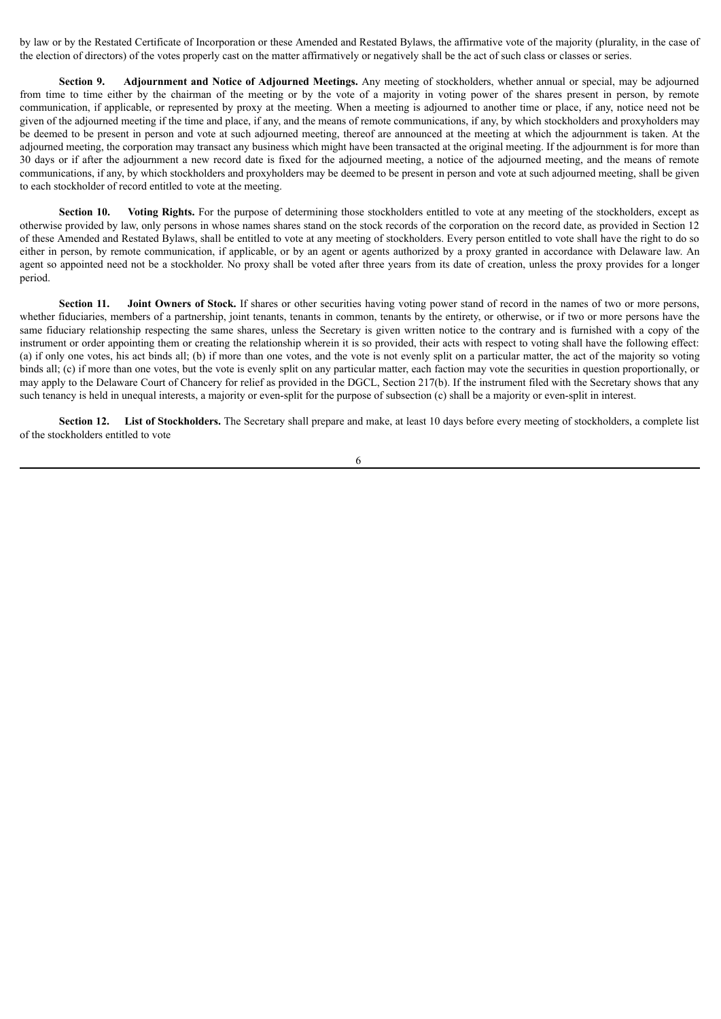by law or by the Restated Certificate of Incorporation or these Amended and Restated Bylaws, the affirmative vote of the majority (plurality, in the case of the election of directors) of the votes properly cast on the matter affirmatively or negatively shall be the act of such class or classes or series.

**Section 9. Adjournment and Notice of Adjourned Meetings.** Any meeting of stockholders, whether annual or special, may be adjourned from time to time either by the chairman of the meeting or by the vote of a majority in voting power of the shares present in person, by remote communication, if applicable, or represented by proxy at the meeting. When a meeting is adjourned to another time or place, if any, notice need not be given of the adjourned meeting if the time and place, if any, and the means of remote communications, if any, by which stockholders and proxyholders may be deemed to be present in person and vote at such adjourned meeting, thereof are announced at the meeting at which the adjournment is taken. At the adjourned meeting, the corporation may transact any business which might have been transacted at the original meeting. If the adjournment is for more than 30 days or if after the adjournment a new record date is fixed for the adjourned meeting, a notice of the adjourned meeting, and the means of remote communications, if any, by which stockholders and proxyholders may be deemed to be present in person and vote at such adjourned meeting, shall be given to each stockholder of record entitled to vote at the meeting.

**Section 10.** Voting Rights. For the purpose of determining those stockholders entitled to vote at any meeting of the stockholders, except as otherwise provided by law, only persons in whose names shares stand on the stock records of the corporation on the record date, as provided in Section 12 of these Amended and Restated Bylaws, shall be entitled to vote at any meeting of stockholders. Every person entitled to vote shall have the right to do so either in person, by remote communication, if applicable, or by an agent or agents authorized by a proxy granted in accordance with Delaware law. An agent so appointed need not be a stockholder. No proxy shall be voted after three years from its date of creation, unless the proxy provides for a longer period.

**Section 11. Joint Owners of Stock.** If shares or other securities having voting power stand of record in the names of two or more persons, whether fiduciaries, members of a partnership, joint tenants, tenants in common, tenants by the entirety, or otherwise, or if two or more persons have the same fiduciary relationship respecting the same shares, unless the Secretary is given written notice to the contrary and is furnished with a copy of the instrument or order appointing them or creating the relationship wherein it is so provided, their acts with respect to voting shall have the following effect: (a) if only one votes, his act binds all; (b) if more than one votes, and the vote is not evenly split on a particular matter, the act of the majority so voting binds all; (c) if more than one votes, but the vote is evenly split on any particular matter, each faction may vote the securities in question proportionally, or may apply to the Delaware Court of Chancery for relief as provided in the DGCL, Section 217(b). If the instrument filed with the Secretary shows that any such tenancy is held in unequal interests, a majority or even-split for the purpose of subsection (c) shall be a majority or even-split in interest.

**Section 12. List of Stockholders.** The Secretary shall prepare and make, at least 10 days before every meeting of stockholders, a complete list of the stockholders entitled to vote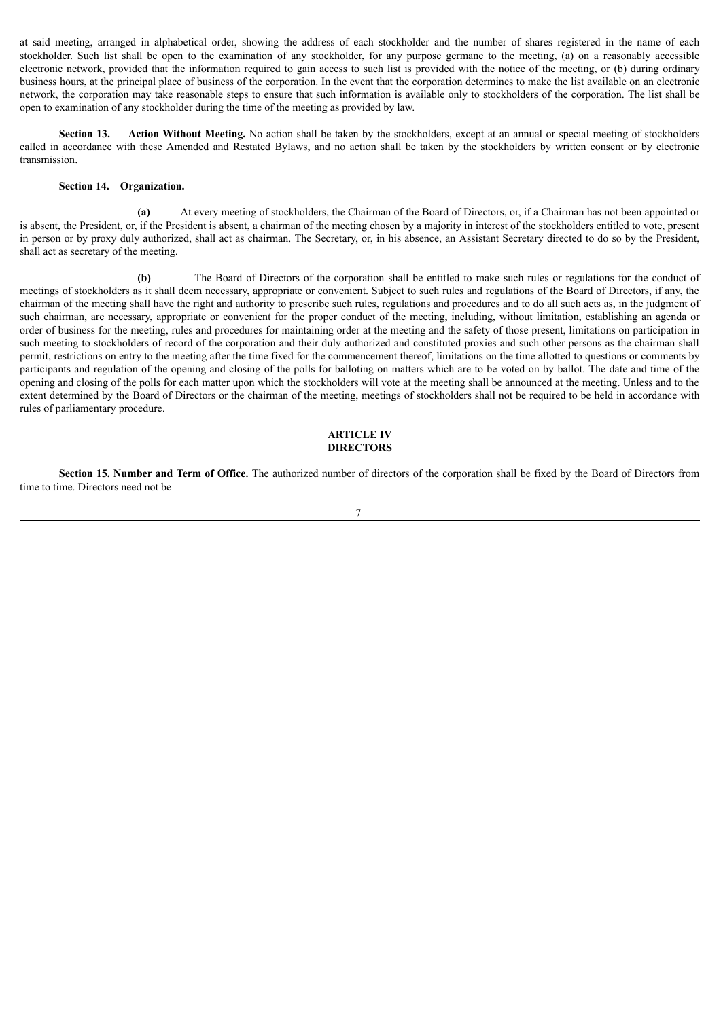at said meeting, arranged in alphabetical order, showing the address of each stockholder and the number of shares registered in the name of each stockholder. Such list shall be open to the examination of any stockholder, for any purpose germane to the meeting, (a) on a reasonably accessible electronic network, provided that the information required to gain access to such list is provided with the notice of the meeting, or (b) during ordinary business hours, at the principal place of business of the corporation. In the event that the corporation determines to make the list available on an electronic network, the corporation may take reasonable steps to ensure that such information is available only to stockholders of the corporation. The list shall be open to examination of any stockholder during the time of the meeting as provided by law.

**Section 13. Action Without Meeting.** No action shall be taken by the stockholders, except at an annual or special meeting of stockholders called in accordance with these Amended and Restated Bylaws, and no action shall be taken by the stockholders by written consent or by electronic transmission.

#### **Section 14. Organization.**

**(a)** At every meeting of stockholders, the Chairman of the Board of Directors, or, if a Chairman has not been appointed or is absent, the President, or, if the President is absent, a chairman of the meeting chosen by a majority in interest of the stockholders entitled to vote, present in person or by proxy duly authorized, shall act as chairman. The Secretary, or, in his absence, an Assistant Secretary directed to do so by the President, shall act as secretary of the meeting.

**(b)** The Board of Directors of the corporation shall be entitled to make such rules or regulations for the conduct of meetings of stockholders as it shall deem necessary, appropriate or convenient. Subject to such rules and regulations of the Board of Directors, if any, the chairman of the meeting shall have the right and authority to prescribe such rules, regulations and procedures and to do all such acts as, in the judgment of such chairman, are necessary, appropriate or convenient for the proper conduct of the meeting, including, without limitation, establishing an agenda or order of business for the meeting, rules and procedures for maintaining order at the meeting and the safety of those present, limitations on participation in such meeting to stockholders of record of the corporation and their duly authorized and constituted proxies and such other persons as the chairman shall permit, restrictions on entry to the meeting after the time fixed for the commencement thereof, limitations on the time allotted to questions or comments by participants and regulation of the opening and closing of the polls for balloting on matters which are to be voted on by ballot. The date and time of the opening and closing of the polls for each matter upon which the stockholders will vote at the meeting shall be announced at the meeting. Unless and to the extent determined by the Board of Directors or the chairman of the meeting, meetings of stockholders shall not be required to be held in accordance with rules of parliamentary procedure.

#### **ARTICLE IV DIRECTORS**

**Section 15. Number and Term of Office.** The authorized number of directors of the corporation shall be fixed by the Board of Directors from time to time. Directors need not be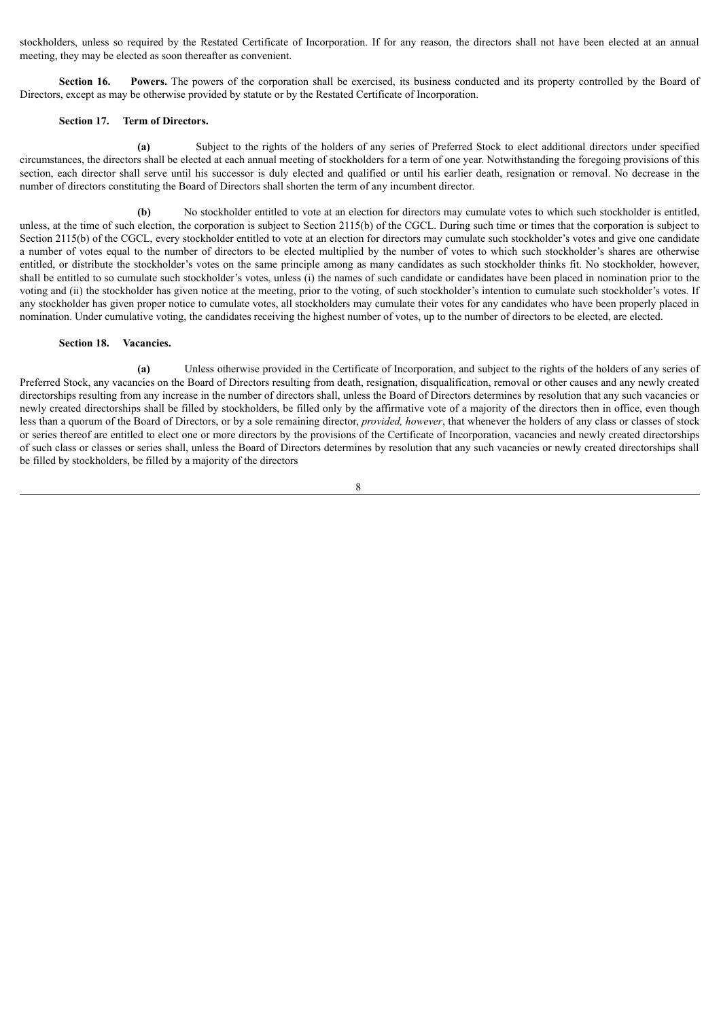stockholders, unless so required by the Restated Certificate of Incorporation. If for any reason, the directors shall not have been elected at an annual meeting, they may be elected as soon thereafter as convenient.

**Section 16.** Powers. The powers of the corporation shall be exercised, its business conducted and its property controlled by the Board of Directors, except as may be otherwise provided by statute or by the Restated Certificate of Incorporation.

#### **Section 17. Term of Directors.**

**(a)** Subject to the rights of the holders of any series of Preferred Stock to elect additional directors under specified circumstances, the directors shall be elected at each annual meeting of stockholders for a term of one year. Notwithstanding the foregoing provisions of this section, each director shall serve until his successor is duly elected and qualified or until his earlier death, resignation or removal. No decrease in the number of directors constituting the Board of Directors shall shorten the term of any incumbent director.

**(b)** No stockholder entitled to vote at an election for directors may cumulate votes to which such stockholder is entitled, unless, at the time of such election, the corporation is subject to Section 2115(b) of the CGCL. During such time or times that the corporation is subject to Section 2115(b) of the CGCL, every stockholder entitled to vote at an election for directors may cumulate such stockholder's votes and give one candidate a number of votes equal to the number of directors to be elected multiplied by the number of votes to which such stockholder's shares are otherwise entitled, or distribute the stockholder's votes on the same principle among as many candidates as such stockholder thinks fit. No stockholder, however, shall be entitled to so cumulate such stockholder's votes, unless (i) the names of such candidate or candidates have been placed in nomination prior to the voting and (ii) the stockholder has given notice at the meeting, prior to the voting, of such stockholder's intention to cumulate such stockholder's votes. If any stockholder has given proper notice to cumulate votes, all stockholders may cumulate their votes for any candidates who have been properly placed in nomination. Under cumulative voting, the candidates receiving the highest number of votes, up to the number of directors to be elected, are elected.

#### **Section 18. Vacancies.**

**(a)** Unless otherwise provided in the Certificate of Incorporation, and subject to the rights of the holders of any series of Preferred Stock, any vacancies on the Board of Directors resulting from death, resignation, disqualification, removal or other causes and any newly created directorships resulting from any increase in the number of directors shall, unless the Board of Directors determines by resolution that any such vacancies or newly created directorships shall be filled by stockholders, be filled only by the affirmative vote of a majority of the directors then in office, even though less than a quorum of the Board of Directors, or by a sole remaining director, *provided, however*, that whenever the holders of any class or classes of stock or series thereof are entitled to elect one or more directors by the provisions of the Certificate of Incorporation, vacancies and newly created directorships of such class or classes or series shall, unless the Board of Directors determines by resolution that any such vacancies or newly created directorships shall be filled by stockholders, be filled by a majority of the directors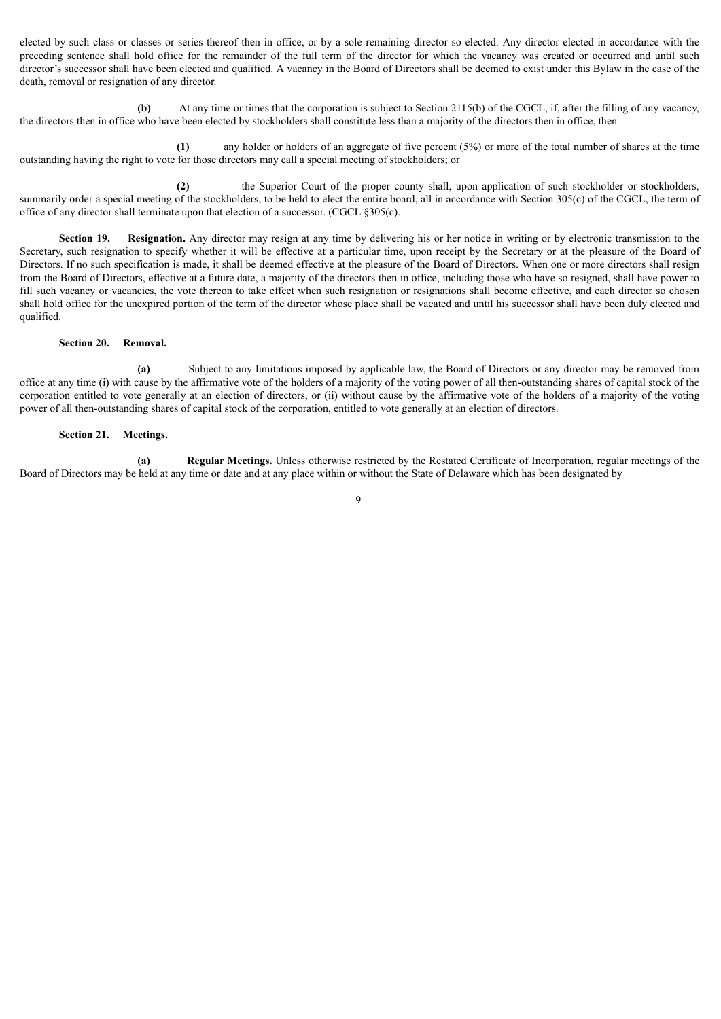elected by such class or classes or series thereof then in office, or by a sole remaining director so elected. Any director elected in accordance with the preceding sentence shall hold office for the remainder of the full term of the director for which the vacancy was created or occurred and until such director's successor shall have been elected and qualified. A vacancy in the Board of Directors shall be deemed to exist under this Bylaw in the case of the death, removal or resignation of any director.

**(b)** At any time or times that the corporation is subject to Section 2115(b) of the CGCL, if, after the filling of any vacancy, the directors then in office who have been elected by stockholders shall constitute less than a majority of the directors then in office, then

**(1)** any holder or holders of an aggregate of five percent (5%) or more of the total number of shares at the time outstanding having the right to vote for those directors may call a special meeting of stockholders; or

**(2)** the Superior Court of the proper county shall, upon application of such stockholder or stockholders, summarily order a special meeting of the stockholders, to be held to elect the entire board, all in accordance with Section 305(c) of the CGCL, the term of office of any director shall terminate upon that election of a successor. (CGCL §305(c).

**Section 19. Resignation.** Any director may resign at any time by delivering his or her notice in writing or by electronic transmission to the Secretary, such resignation to specify whether it will be effective at a particular time, upon receipt by the Secretary or at the pleasure of the Board of Directors. If no such specification is made, it shall be deemed effective at the pleasure of the Board of Directors. When one or more directors shall resign from the Board of Directors, effective at a future date, a majority of the directors then in office, including those who have so resigned, shall have power to fill such vacancy or vacancies, the vote thereon to take effect when such resignation or resignations shall become effective, and each director so chosen shall hold office for the unexpired portion of the term of the director whose place shall be vacated and until his successor shall have been duly elected and qualified.

### **Section 20. Removal.**

**(a)** Subject to any limitations imposed by applicable law, the Board of Directors or any director may be removed from office at any time (i) with cause by the affirmative vote of the holders of a majority of the voting power of all then-outstanding shares of capital stock of the corporation entitled to vote generally at an election of directors, or (ii) without cause by the affirmative vote of the holders of a majority of the voting power of all then-outstanding shares of capital stock of the corporation, entitled to vote generally at an election of directors.

### **Section 21. Meetings.**

**(a) Regular Meetings.** Unless otherwise restricted by the Restated Certificate of Incorporation, regular meetings of the Board of Directors may be held at any time or date and at any place within or without the State of Delaware which has been designated by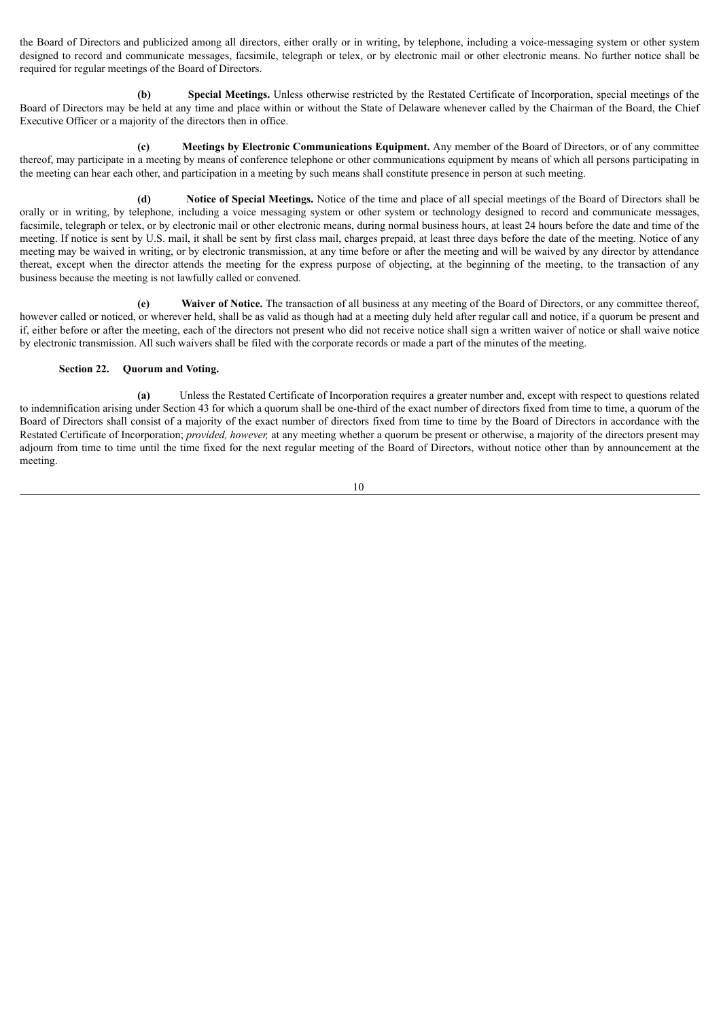the Board of Directors and publicized among all directors, either orally or in writing, by telephone, including a voice-messaging system or other system designed to record and communicate messages, facsimile, telegraph or telex, or by electronic mail or other electronic means. No further notice shall be required for regular meetings of the Board of Directors.

**(b) Special Meetings.** Unless otherwise restricted by the Restated Certificate of Incorporation, special meetings of the Board of Directors may be held at any time and place within or without the State of Delaware whenever called by the Chairman of the Board, the Chief Executive Officer or a majority of the directors then in office.

**(c) Meetings by Electronic Communications Equipment.** Any member of the Board of Directors, or of any committee thereof, may participate in a meeting by means of conference telephone or other communications equipment by means of which all persons participating in the meeting can hear each other, and participation in a meeting by such means shall constitute presence in person at such meeting.

**(d) Notice of Special Meetings.** Notice of the time and place of all special meetings of the Board of Directors shall be orally or in writing, by telephone, including a voice messaging system or other system or technology designed to record and communicate messages, facsimile, telegraph or telex, or by electronic mail or other electronic means, during normal business hours, at least 24 hours before the date and time of the meeting. If notice is sent by U.S. mail, it shall be sent by first class mail, charges prepaid, at least three days before the date of the meeting. Notice of any meeting may be waived in writing, or by electronic transmission, at any time before or after the meeting and will be waived by any director by attendance thereat, except when the director attends the meeting for the express purpose of objecting, at the beginning of the meeting, to the transaction of any business because the meeting is not lawfully called or convened.

**(e) Waiver of Notice.** The transaction of all business at any meeting of the Board of Directors, or any committee thereof, however called or noticed, or wherever held, shall be as valid as though had at a meeting duly held after regular call and notice, if a quorum be present and if, either before or after the meeting, each of the directors not present who did not receive notice shall sign a written waiver of notice or shall waive notice by electronic transmission. All such waivers shall be filed with the corporate records or made a part of the minutes of the meeting.

# **Section 22. Quorum and Voting.**

**(a)** Unless the Restated Certificate of Incorporation requires a greater number and, except with respect to questions related to indemnification arising under Section 43 for which a quorum shall be one-third of the exact number of directors fixed from time to time, a quorum of the Board of Directors shall consist of a majority of the exact number of directors fixed from time to time by the Board of Directors in accordance with the Restated Certificate of Incorporation; *provided, however,* at any meeting whether a quorum be present or otherwise, a majority of the directors present may adjourn from time to time until the time fixed for the next regular meeting of the Board of Directors, without notice other than by announcement at the meeting.

$$
10\quad
$$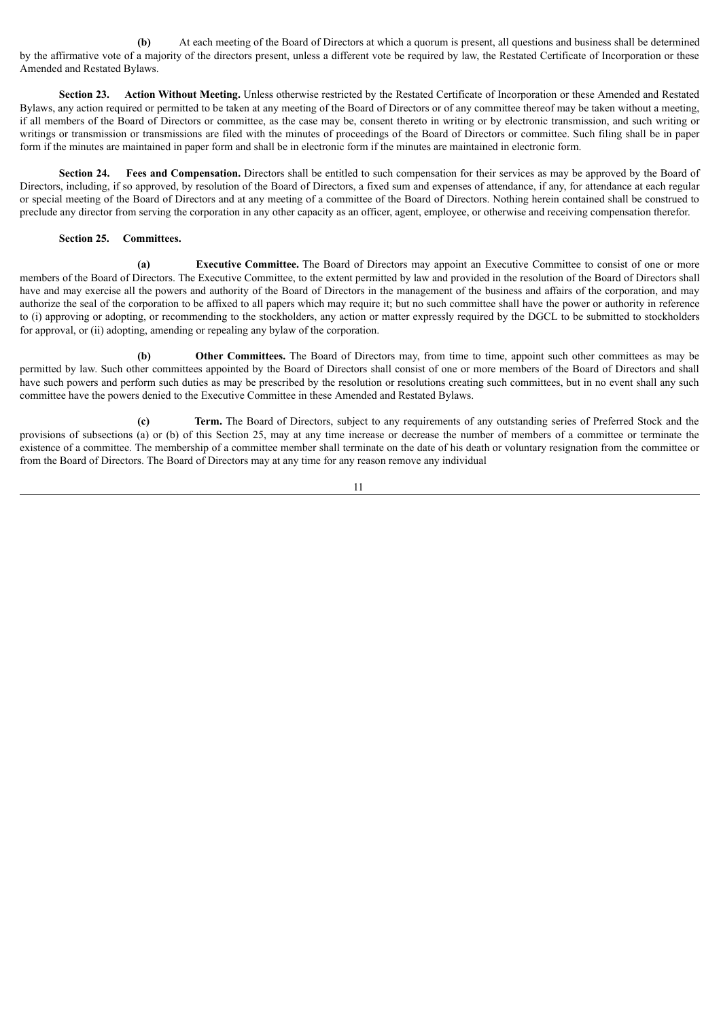**(b)** At each meeting of the Board of Directors at which a quorum is present, all questions and business shall be determined by the affirmative vote of a majority of the directors present, unless a different vote be required by law, the Restated Certificate of Incorporation or these Amended and Restated Bylaws.

**Section 23. Action Without Meeting.** Unless otherwise restricted by the Restated Certificate of Incorporation or these Amended and Restated Bylaws, any action required or permitted to be taken at any meeting of the Board of Directors or of any committee thereof may be taken without a meeting, if all members of the Board of Directors or committee, as the case may be, consent thereto in writing or by electronic transmission, and such writing or writings or transmission or transmissions are filed with the minutes of proceedings of the Board of Directors or committee. Such filing shall be in paper form if the minutes are maintained in paper form and shall be in electronic form if the minutes are maintained in electronic form.

**Section 24. Fees and Compensation.** Directors shall be entitled to such compensation for their services as may be approved by the Board of Directors, including, if so approved, by resolution of the Board of Directors, a fixed sum and expenses of attendance, if any, for attendance at each regular or special meeting of the Board of Directors and at any meeting of a committee of the Board of Directors. Nothing herein contained shall be construed to preclude any director from serving the corporation in any other capacity as an officer, agent, employee, or otherwise and receiving compensation therefor.

# **Section 25. Committees.**

**(a) Executive Committee.** The Board of Directors may appoint an Executive Committee to consist of one or more members of the Board of Directors. The Executive Committee, to the extent permitted by law and provided in the resolution of the Board of Directors shall have and may exercise all the powers and authority of the Board of Directors in the management of the business and affairs of the corporation, and may authorize the seal of the corporation to be affixed to all papers which may require it; but no such committee shall have the power or authority in reference to (i) approving or adopting, or recommending to the stockholders, any action or matter expressly required by the DGCL to be submitted to stockholders for approval, or (ii) adopting, amending or repealing any bylaw of the corporation.

**(b) Other Committees.** The Board of Directors may, from time to time, appoint such other committees as may be permitted by law. Such other committees appointed by the Board of Directors shall consist of one or more members of the Board of Directors and shall have such powers and perform such duties as may be prescribed by the resolution or resolutions creating such committees, but in no event shall any such committee have the powers denied to the Executive Committee in these Amended and Restated Bylaws.

**(c) Term.** The Board of Directors, subject to any requirements of any outstanding series of Preferred Stock and the provisions of subsections (a) or (b) of this Section 25, may at any time increase or decrease the number of members of a committee or terminate the existence of a committee. The membership of a committee member shall terminate on the date of his death or voluntary resignation from the committee or from the Board of Directors. The Board of Directors may at any time for any reason remove any individual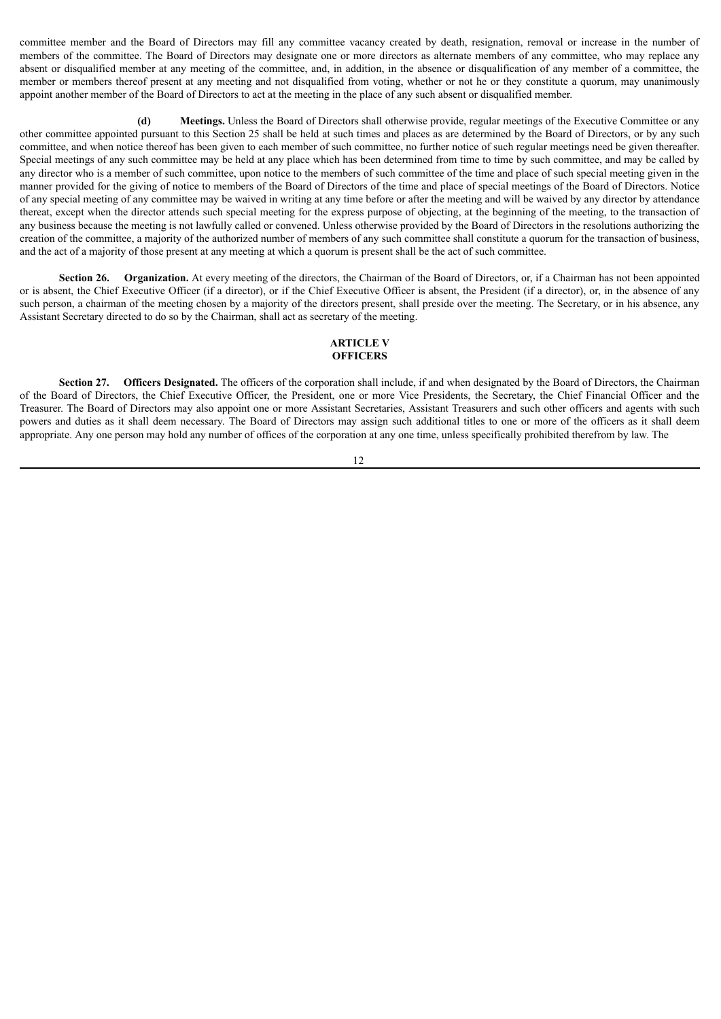committee member and the Board of Directors may fill any committee vacancy created by death, resignation, removal or increase in the number of members of the committee. The Board of Directors may designate one or more directors as alternate members of any committee, who may replace any absent or disqualified member at any meeting of the committee, and, in addition, in the absence or disqualification of any member of a committee, the member or members thereof present at any meeting and not disqualified from voting, whether or not he or they constitute a quorum, may unanimously appoint another member of the Board of Directors to act at the meeting in the place of any such absent or disqualified member.

**(d) Meetings.** Unless the Board of Directors shall otherwise provide, regular meetings of the Executive Committee or any other committee appointed pursuant to this Section 25 shall be held at such times and places as are determined by the Board of Directors, or by any such committee, and when notice thereof has been given to each member of such committee, no further notice of such regular meetings need be given thereafter. Special meetings of any such committee may be held at any place which has been determined from time to time by such committee, and may be called by any director who is a member of such committee, upon notice to the members of such committee of the time and place of such special meeting given in the manner provided for the giving of notice to members of the Board of Directors of the time and place of special meetings of the Board of Directors. Notice of any special meeting of any committee may be waived in writing at any time before or after the meeting and will be waived by any director by attendance thereat, except when the director attends such special meeting for the express purpose of objecting, at the beginning of the meeting, to the transaction of any business because the meeting is not lawfully called or convened. Unless otherwise provided by the Board of Directors in the resolutions authorizing the creation of the committee, a majority of the authorized number of members of any such committee shall constitute a quorum for the transaction of business, and the act of a majority of those present at any meeting at which a quorum is present shall be the act of such committee.

**Section 26. Organization.** At every meeting of the directors, the Chairman of the Board of Directors, or, if a Chairman has not been appointed or is absent, the Chief Executive Officer (if a director), or if the Chief Executive Officer is absent, the President (if a director), or, in the absence of any such person, a chairman of the meeting chosen by a majority of the directors present, shall preside over the meeting. The Secretary, or in his absence, any Assistant Secretary directed to do so by the Chairman, shall act as secretary of the meeting.

#### **ARTICLE V OFFICERS**

**Section 27. Officers Designated.** The officers of the corporation shall include, if and when designated by the Board of Directors, the Chairman of the Board of Directors, the Chief Executive Officer, the President, one or more Vice Presidents, the Secretary, the Chief Financial Officer and the Treasurer. The Board of Directors may also appoint one or more Assistant Secretaries, Assistant Treasurers and such other officers and agents with such powers and duties as it shall deem necessary. The Board of Directors may assign such additional titles to one or more of the officers as it shall deem appropriate. Any one person may hold any number of offices of the corporation at any one time, unless specifically prohibited therefrom by law. The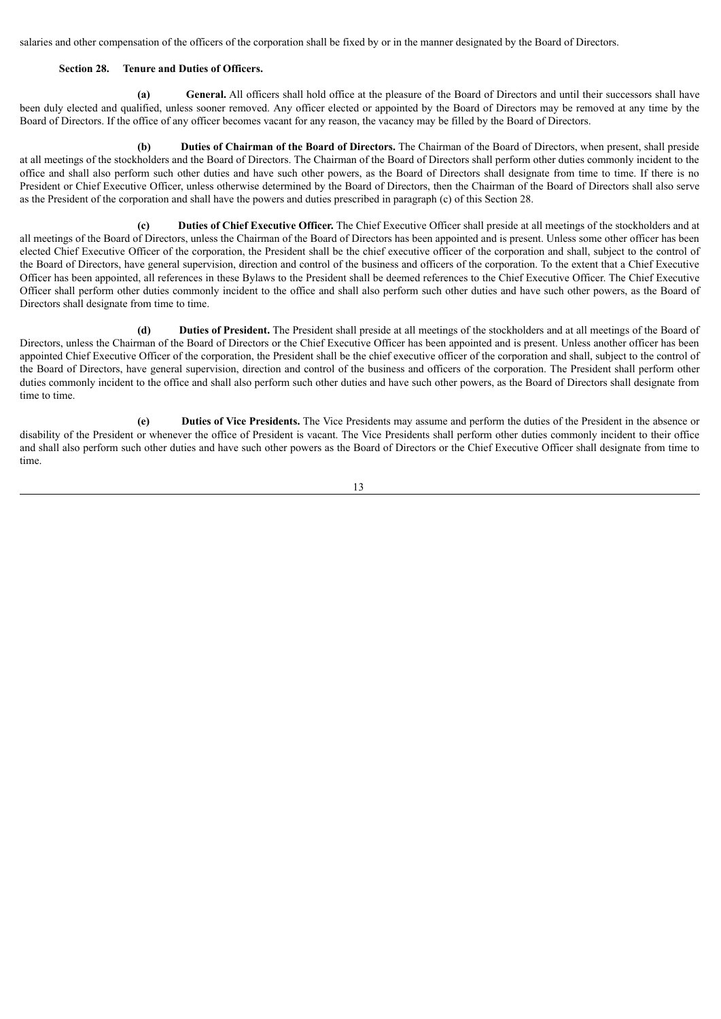salaries and other compensation of the officers of the corporation shall be fixed by or in the manner designated by the Board of Directors.

# **Section 28. Tenure and Duties of Officers.**

**(a) General.** All officers shall hold office at the pleasure of the Board of Directors and until their successors shall have been duly elected and qualified, unless sooner removed. Any officer elected or appointed by the Board of Directors may be removed at any time by the Board of Directors. If the office of any officer becomes vacant for any reason, the vacancy may be filled by the Board of Directors.

**(b) Duties of Chairman of the Board of Directors.** The Chairman of the Board of Directors, when present, shall preside at all meetings of the stockholders and the Board of Directors. The Chairman of the Board of Directors shall perform other duties commonly incident to the office and shall also perform such other duties and have such other powers, as the Board of Directors shall designate from time to time. If there is no President or Chief Executive Officer, unless otherwise determined by the Board of Directors, then the Chairman of the Board of Directors shall also serve as the President of the corporation and shall have the powers and duties prescribed in paragraph (c) of this Section 28.

**(c) Duties of Chief Executive Officer.** The Chief Executive Officer shall preside at all meetings of the stockholders and at all meetings of the Board of Directors, unless the Chairman of the Board of Directors has been appointed and is present. Unless some other officer has been elected Chief Executive Officer of the corporation, the President shall be the chief executive officer of the corporation and shall, subject to the control of the Board of Directors, have general supervision, direction and control of the business and officers of the corporation. To the extent that a Chief Executive Officer has been appointed, all references in these Bylaws to the President shall be deemed references to the Chief Executive Officer. The Chief Executive Officer shall perform other duties commonly incident to the office and shall also perform such other duties and have such other powers, as the Board of Directors shall designate from time to time.

**(d) Duties of President.** The President shall preside at all meetings of the stockholders and at all meetings of the Board of Directors, unless the Chairman of the Board of Directors or the Chief Executive Officer has been appointed and is present. Unless another officer has been appointed Chief Executive Officer of the corporation, the President shall be the chief executive officer of the corporation and shall, subject to the control of the Board of Directors, have general supervision, direction and control of the business and officers of the corporation. The President shall perform other duties commonly incident to the office and shall also perform such other duties and have such other powers, as the Board of Directors shall designate from time to time.

**(e) Duties of Vice Presidents.** The Vice Presidents may assume and perform the duties of the President in the absence or disability of the President or whenever the office of President is vacant. The Vice Presidents shall perform other duties commonly incident to their office and shall also perform such other duties and have such other powers as the Board of Directors or the Chief Executive Officer shall designate from time to time.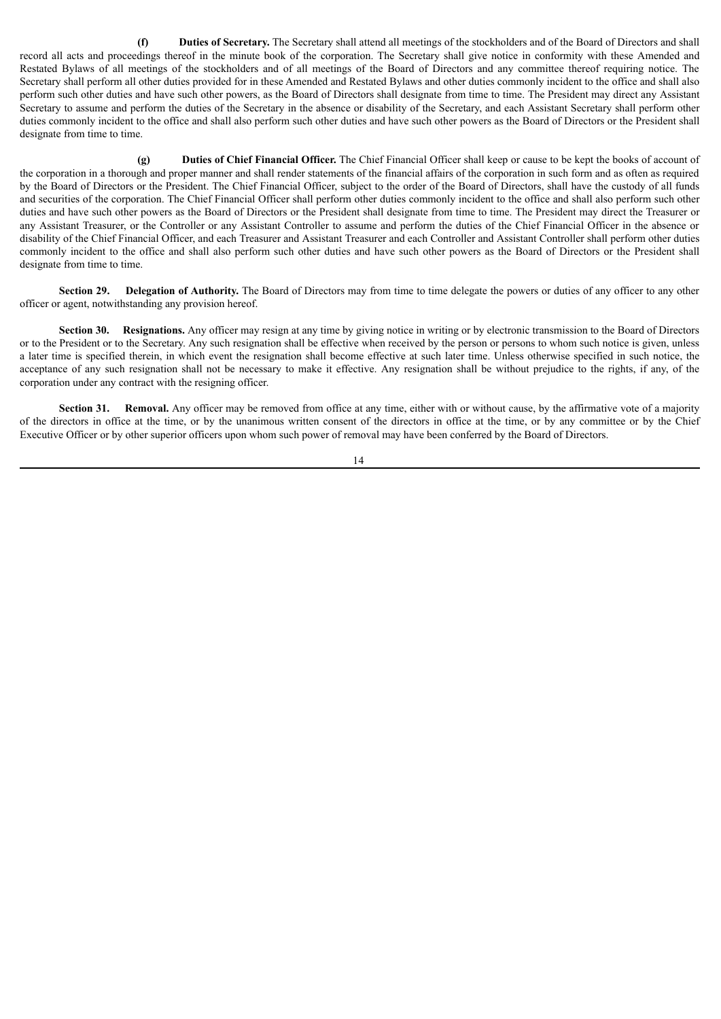**(f) Duties of Secretary.** The Secretary shall attend all meetings of the stockholders and of the Board of Directors and shall record all acts and proceedings thereof in the minute book of the corporation. The Secretary shall give notice in conformity with these Amended and Restated Bylaws of all meetings of the stockholders and of all meetings of the Board of Directors and any committee thereof requiring notice. The Secretary shall perform all other duties provided for in these Amended and Restated Bylaws and other duties commonly incident to the office and shall also perform such other duties and have such other powers, as the Board of Directors shall designate from time to time. The President may direct any Assistant Secretary to assume and perform the duties of the Secretary in the absence or disability of the Secretary, and each Assistant Secretary shall perform other duties commonly incident to the office and shall also perform such other duties and have such other powers as the Board of Directors or the President shall designate from time to time.

**(g) Duties of Chief Financial Officer.** The Chief Financial Officer shall keep or cause to be kept the books of account of the corporation in a thorough and proper manner and shall render statements of the financial affairs of the corporation in such form and as often as required by the Board of Directors or the President. The Chief Financial Officer, subject to the order of the Board of Directors, shall have the custody of all funds and securities of the corporation. The Chief Financial Officer shall perform other duties commonly incident to the office and shall also perform such other duties and have such other powers as the Board of Directors or the President shall designate from time to time. The President may direct the Treasurer or any Assistant Treasurer, or the Controller or any Assistant Controller to assume and perform the duties of the Chief Financial Officer in the absence or disability of the Chief Financial Officer, and each Treasurer and Assistant Treasurer and each Controller and Assistant Controller shall perform other duties commonly incident to the office and shall also perform such other duties and have such other powers as the Board of Directors or the President shall designate from time to time.

**Section 29. Delegation of Authority.** The Board of Directors may from time to time delegate the powers or duties of any officer to any other officer or agent, notwithstanding any provision hereof.

**Section 30.** Resignations. Any officer may resign at any time by giving notice in writing or by electronic transmission to the Board of Directors or to the President or to the Secretary. Any such resignation shall be effective when received by the person or persons to whom such notice is given, unless a later time is specified therein, in which event the resignation shall become effective at such later time. Unless otherwise specified in such notice, the acceptance of any such resignation shall not be necessary to make it effective. Any resignation shall be without prejudice to the rights, if any, of the corporation under any contract with the resigning officer.

**Section 31.** Removal. Any officer may be removed from office at any time, either with or without cause, by the affirmative vote of a majority of the directors in office at the time, or by the unanimous written consent of the directors in office at the time, or by any committee or by the Chief Executive Officer or by other superior officers upon whom such power of removal may have been conferred by the Board of Directors.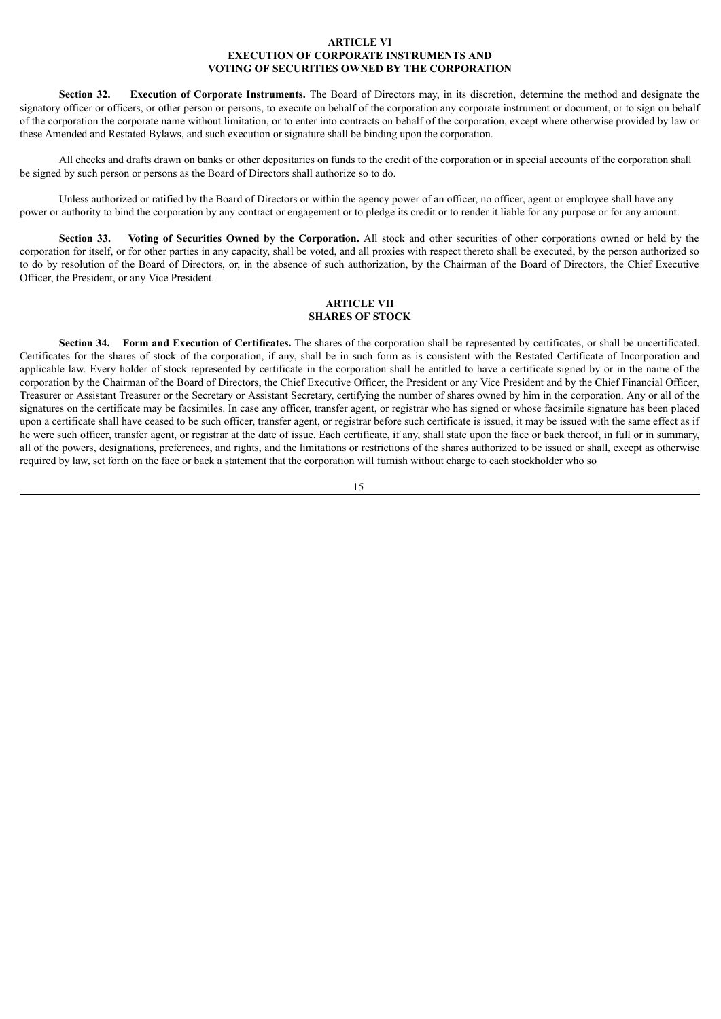## **ARTICLE VI EXECUTION OF CORPORATE INSTRUMENTS AND VOTING OF SECURITIES OWNED BY THE CORPORATION**

**Section 32. Execution of Corporate Instruments.** The Board of Directors may, in its discretion, determine the method and designate the signatory officer or officers, or other person or persons, to execute on behalf of the corporation any corporate instrument or document, or to sign on behalf of the corporation the corporate name without limitation, or to enter into contracts on behalf of the corporation, except where otherwise provided by law or these Amended and Restated Bylaws, and such execution or signature shall be binding upon the corporation.

All checks and drafts drawn on banks or other depositaries on funds to the credit of the corporation or in special accounts of the corporation shall be signed by such person or persons as the Board of Directors shall authorize so to do.

Unless authorized or ratified by the Board of Directors or within the agency power of an officer, no officer, agent or employee shall have any power or authority to bind the corporation by any contract or engagement or to pledge its credit or to render it liable for any purpose or for any amount.

**Section 33. Voting of Securities Owned by the Corporation.** All stock and other securities of other corporations owned or held by the corporation for itself, or for other parties in any capacity, shall be voted, and all proxies with respect thereto shall be executed, by the person authorized so to do by resolution of the Board of Directors, or, in the absence of such authorization, by the Chairman of the Board of Directors, the Chief Executive Officer, the President, or any Vice President.

## **ARTICLE VII SHARES OF STOCK**

**Section 34. Form and Execution of Certificates.** The shares of the corporation shall be represented by certificates, or shall be uncertificated. Certificates for the shares of stock of the corporation, if any, shall be in such form as is consistent with the Restated Certificate of Incorporation and applicable law. Every holder of stock represented by certificate in the corporation shall be entitled to have a certificate signed by or in the name of the corporation by the Chairman of the Board of Directors, the Chief Executive Officer, the President or any Vice President and by the Chief Financial Officer, Treasurer or Assistant Treasurer or the Secretary or Assistant Secretary, certifying the number of shares owned by him in the corporation. Any or all of the signatures on the certificate may be facsimiles. In case any officer, transfer agent, or registrar who has signed or whose facsimile signature has been placed upon a certificate shall have ceased to be such officer, transfer agent, or registrar before such certificate is issued, it may be issued with the same effect as if he were such officer, transfer agent, or registrar at the date of issue. Each certificate, if any, shall state upon the face or back thereof, in full or in summary, all of the powers, designations, preferences, and rights, and the limitations or restrictions of the shares authorized to be issued or shall, except as otherwise required by law, set forth on the face or back a statement that the corporation will furnish without charge to each stockholder who so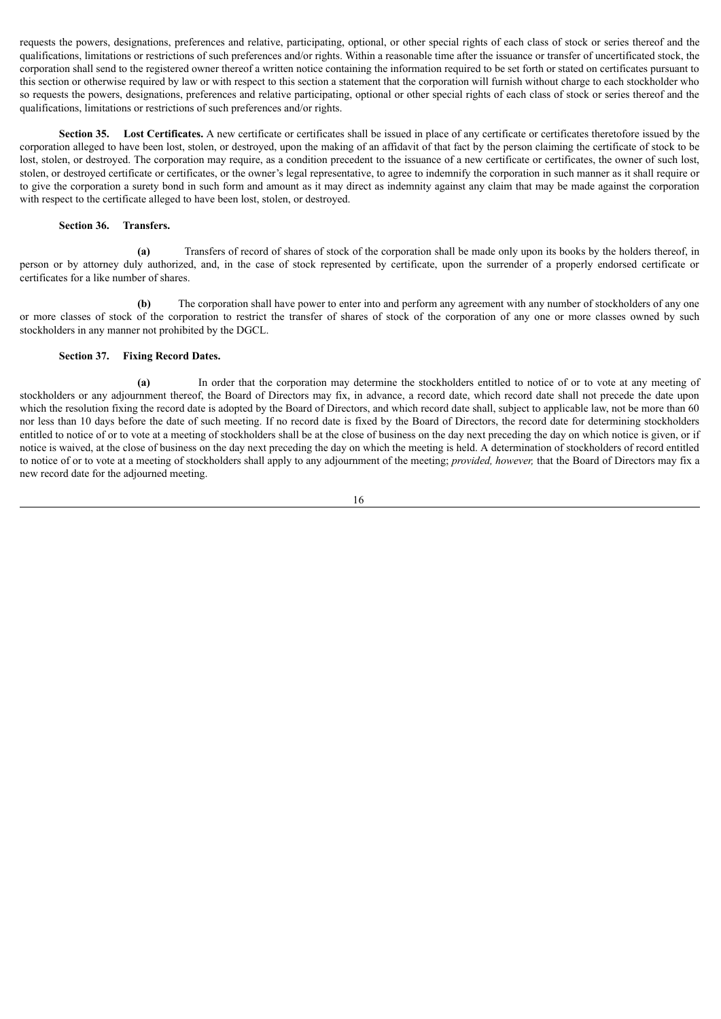requests the powers, designations, preferences and relative, participating, optional, or other special rights of each class of stock or series thereof and the qualifications, limitations or restrictions of such preferences and/or rights. Within a reasonable time after the issuance or transfer of uncertificated stock, the corporation shall send to the registered owner thereof a written notice containing the information required to be set forth or stated on certificates pursuant to this section or otherwise required by law or with respect to this section a statement that the corporation will furnish without charge to each stockholder who so requests the powers, designations, preferences and relative participating, optional or other special rights of each class of stock or series thereof and the qualifications, limitations or restrictions of such preferences and/or rights.

**Section 35. Lost Certificates.** A new certificate or certificates shall be issued in place of any certificate or certificates theretofore issued by the corporation alleged to have been lost, stolen, or destroyed, upon the making of an affidavit of that fact by the person claiming the certificate of stock to be lost, stolen, or destroyed. The corporation may require, as a condition precedent to the issuance of a new certificate or certificates, the owner of such lost, stolen, or destroyed certificate or certificates, or the owner's legal representative, to agree to indemnify the corporation in such manner as it shall require or to give the corporation a surety bond in such form and amount as it may direct as indemnity against any claim that may be made against the corporation with respect to the certificate alleged to have been lost, stolen, or destroyed.

### **Section 36. Transfers.**

**(a)** Transfers of record of shares of stock of the corporation shall be made only upon its books by the holders thereof, in person or by attorney duly authorized, and, in the case of stock represented by certificate, upon the surrender of a properly endorsed certificate or certificates for a like number of shares.

**(b)** The corporation shall have power to enter into and perform any agreement with any number of stockholders of any one or more classes of stock of the corporation to restrict the transfer of shares of stock of the corporation of any one or more classes owned by such stockholders in any manner not prohibited by the DGCL.

#### **Section 37. Fixing Record Dates.**

**(a)** In order that the corporation may determine the stockholders entitled to notice of or to vote at any meeting of stockholders or any adjournment thereof, the Board of Directors may fix, in advance, a record date, which record date shall not precede the date upon which the resolution fixing the record date is adopted by the Board of Directors, and which record date shall, subject to applicable law, not be more than 60 nor less than 10 days before the date of such meeting. If no record date is fixed by the Board of Directors, the record date for determining stockholders entitled to notice of or to vote at a meeting of stockholders shall be at the close of business on the day next preceding the day on which notice is given, or if notice is waived, at the close of business on the day next preceding the day on which the meeting is held. A determination of stockholders of record entitled to notice of or to vote at a meeting of stockholders shall apply to any adjournment of the meeting; *provided, however,* that the Board of Directors may fix a new record date for the adjourned meeting.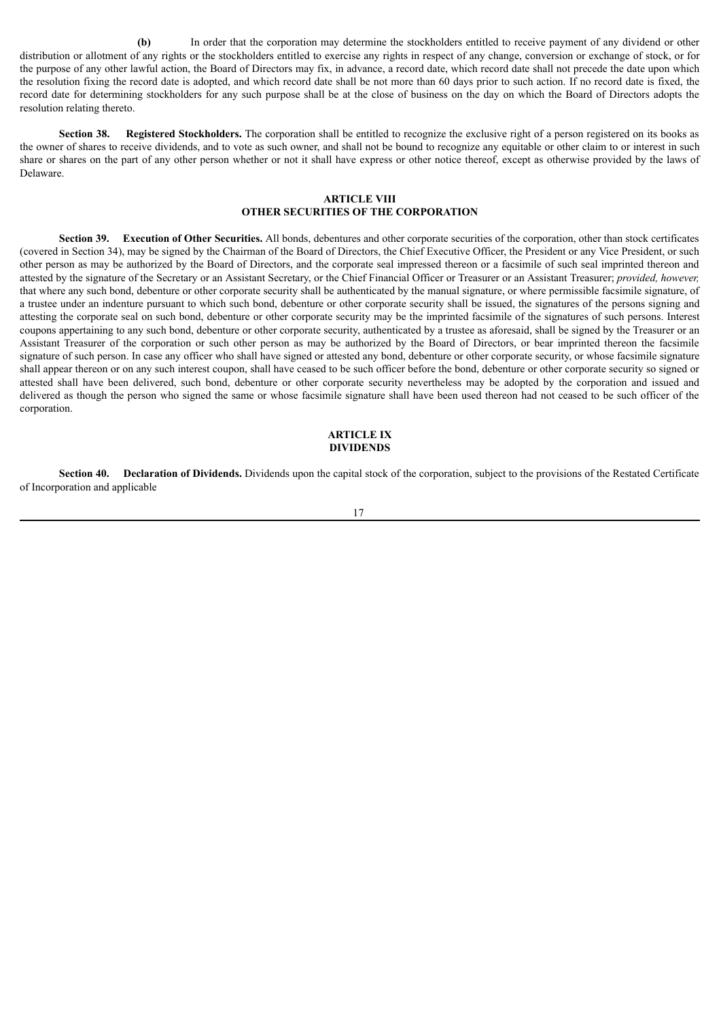**(b)** In order that the corporation may determine the stockholders entitled to receive payment of any dividend or other distribution or allotment of any rights or the stockholders entitled to exercise any rights in respect of any change, conversion or exchange of stock, or for the purpose of any other lawful action, the Board of Directors may fix, in advance, a record date, which record date shall not precede the date upon which the resolution fixing the record date is adopted, and which record date shall be not more than 60 days prior to such action. If no record date is fixed, the record date for determining stockholders for any such purpose shall be at the close of business on the day on which the Board of Directors adopts the resolution relating thereto.

**Section 38. Registered Stockholders.** The corporation shall be entitled to recognize the exclusive right of a person registered on its books as the owner of shares to receive dividends, and to vote as such owner, and shall not be bound to recognize any equitable or other claim to or interest in such share or shares on the part of any other person whether or not it shall have express or other notice thereof, except as otherwise provided by the laws of Delaware.

## **ARTICLE VIII OTHER SECURITIES OF THE CORPORATION**

**Section 39. Execution of Other Securities.** All bonds, debentures and other corporate securities of the corporation, other than stock certificates (covered in Section 34), may be signed by the Chairman of the Board of Directors, the Chief Executive Officer, the President or any Vice President, or such other person as may be authorized by the Board of Directors, and the corporate seal impressed thereon or a facsimile of such seal imprinted thereon and attested by the signature of the Secretary or an Assistant Secretary, or the Chief Financial Officer or Treasurer or an Assistant Treasurer; *provided, however,* that where any such bond, debenture or other corporate security shall be authenticated by the manual signature, or where permissible facsimile signature, of a trustee under an indenture pursuant to which such bond, debenture or other corporate security shall be issued, the signatures of the persons signing and attesting the corporate seal on such bond, debenture or other corporate security may be the imprinted facsimile of the signatures of such persons. Interest coupons appertaining to any such bond, debenture or other corporate security, authenticated by a trustee as aforesaid, shall be signed by the Treasurer or an Assistant Treasurer of the corporation or such other person as may be authorized by the Board of Directors, or bear imprinted thereon the facsimile signature of such person. In case any officer who shall have signed or attested any bond, debenture or other corporate security, or whose facsimile signature shall appear thereon or on any such interest coupon, shall have ceased to be such officer before the bond, debenture or other corporate security so signed or attested shall have been delivered, such bond, debenture or other corporate security nevertheless may be adopted by the corporation and issued and delivered as though the person who signed the same or whose facsimile signature shall have been used thereon had not ceased to be such officer of the corporation.

#### **ARTICLE IX DIVIDENDS**

**Section 40. Declaration of Dividends.** Dividends upon the capital stock of the corporation, subject to the provisions of the Restated Certificate of Incorporation and applicable

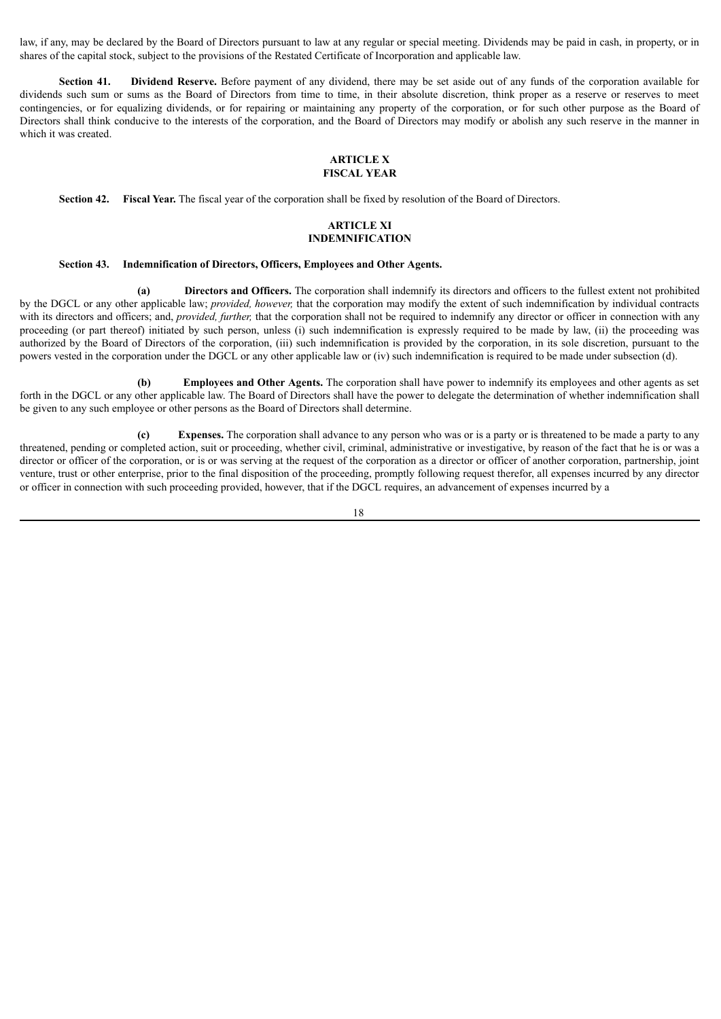law, if any, may be declared by the Board of Directors pursuant to law at any regular or special meeting. Dividends may be paid in cash, in property, or in shares of the capital stock, subject to the provisions of the Restated Certificate of Incorporation and applicable law.

**Section 41. Dividend Reserve.** Before payment of any dividend, there may be set aside out of any funds of the corporation available for dividends such sum or sums as the Board of Directors from time to time, in their absolute discretion, think proper as a reserve or reserves to meet contingencies, or for equalizing dividends, or for repairing or maintaining any property of the corporation, or for such other purpose as the Board of Directors shall think conducive to the interests of the corporation, and the Board of Directors may modify or abolish any such reserve in the manner in which it was created.

# **ARTICLE X**

# **FISCAL YEAR**

**Section 42. Fiscal Year.** The fiscal year of the corporation shall be fixed by resolution of the Board of Directors.

## **ARTICLE XI INDEMNIFICATION**

#### **Section 43. Indemnification of Directors, Officers, Employees and Other Agents.**

**(a) Directors and Officers.** The corporation shall indemnify its directors and officers to the fullest extent not prohibited by the DGCL or any other applicable law; *provided, however,* that the corporation may modify the extent of such indemnification by individual contracts with its directors and officers; and, *provided, further*, that the corporation shall not be required to indemnify any director or officer in connection with any proceeding (or part thereof) initiated by such person, unless (i) such indemnification is expressly required to be made by law, (ii) the proceeding was authorized by the Board of Directors of the corporation, (iii) such indemnification is provided by the corporation, in its sole discretion, pursuant to the powers vested in the corporation under the DGCL or any other applicable law or (iv) such indemnification is required to be made under subsection (d).

**(b) Employees and Other Agents.** The corporation shall have power to indemnify its employees and other agents as set forth in the DGCL or any other applicable law. The Board of Directors shall have the power to delegate the determination of whether indemnification shall be given to any such employee or other persons as the Board of Directors shall determine.

**(c) Expenses.** The corporation shall advance to any person who was or is a party or is threatened to be made a party to any threatened, pending or completed action, suit or proceeding, whether civil, criminal, administrative or investigative, by reason of the fact that he is or was a director or officer of the corporation, or is or was serving at the request of the corporation as a director or officer of another corporation, partnership, joint venture, trust or other enterprise, prior to the final disposition of the proceeding, promptly following request therefor, all expenses incurred by any director or officer in connection with such proceeding provided, however, that if the DGCL requires, an advancement of expenses incurred by a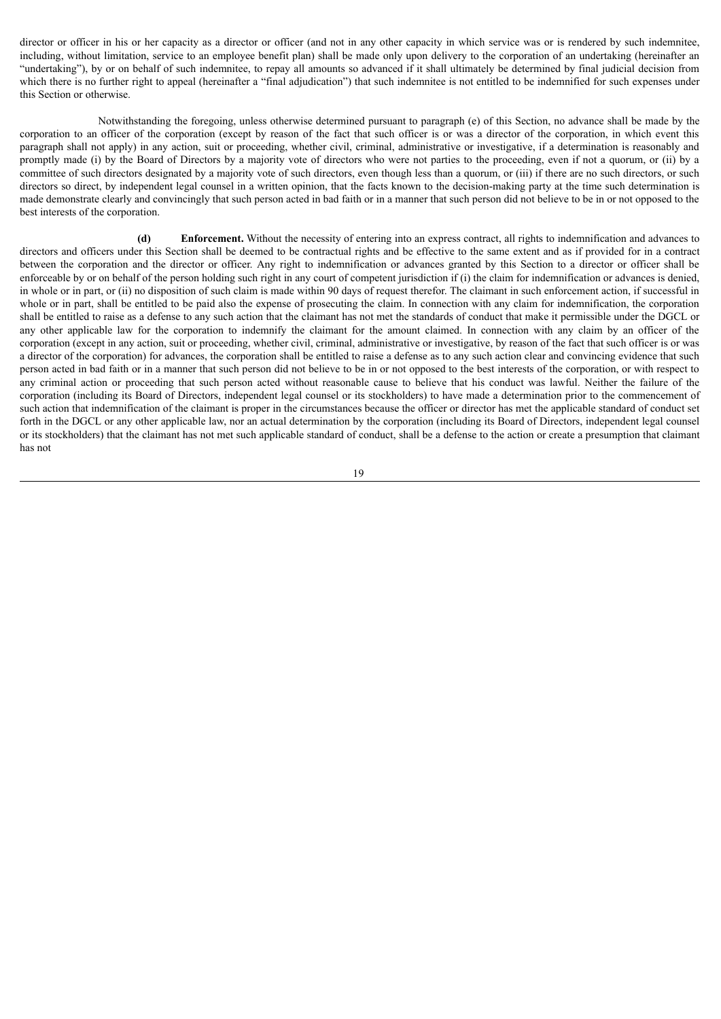director or officer in his or her capacity as a director or officer (and not in any other capacity in which service was or is rendered by such indemnitee, including, without limitation, service to an employee benefit plan) shall be made only upon delivery to the corporation of an undertaking (hereinafter an "undertaking"), by or on behalf of such indemnitee, to repay all amounts so advanced if it shall ultimately be determined by final judicial decision from which there is no further right to appeal (hereinafter a "final adjudication") that such indemnitee is not entitled to be indemnified for such expenses under this Section or otherwise.

Notwithstanding the foregoing, unless otherwise determined pursuant to paragraph (e) of this Section, no advance shall be made by the corporation to an officer of the corporation (except by reason of the fact that such officer is or was a director of the corporation, in which event this paragraph shall not apply) in any action, suit or proceeding, whether civil, criminal, administrative or investigative, if a determination is reasonably and promptly made (i) by the Board of Directors by a majority vote of directors who were not parties to the proceeding, even if not a quorum, or (ii) by a committee of such directors designated by a majority vote of such directors, even though less than a quorum, or (iii) if there are no such directors, or such directors so direct, by independent legal counsel in a written opinion, that the facts known to the decision-making party at the time such determination is made demonstrate clearly and convincingly that such person acted in bad faith or in a manner that such person did not believe to be in or not opposed to the best interests of the corporation.

**(d) Enforcement.** Without the necessity of entering into an express contract, all rights to indemnification and advances to directors and officers under this Section shall be deemed to be contractual rights and be effective to the same extent and as if provided for in a contract between the corporation and the director or officer. Any right to indemnification or advances granted by this Section to a director or officer shall be enforceable by or on behalf of the person holding such right in any court of competent jurisdiction if (i) the claim for indemnification or advances is denied, in whole or in part, or (ii) no disposition of such claim is made within 90 days of request therefor. The claimant in such enforcement action, if successful in whole or in part, shall be entitled to be paid also the expense of prosecuting the claim. In connection with any claim for indemnification, the corporation shall be entitled to raise as a defense to any such action that the claimant has not met the standards of conduct that make it permissible under the DGCL or any other applicable law for the corporation to indemnify the claimant for the amount claimed. In connection with any claim by an officer of the corporation (except in any action, suit or proceeding, whether civil, criminal, administrative or investigative, by reason of the fact that such officer is or was a director of the corporation) for advances, the corporation shall be entitled to raise a defense as to any such action clear and convincing evidence that such person acted in bad faith or in a manner that such person did not believe to be in or not opposed to the best interests of the corporation, or with respect to any criminal action or proceeding that such person acted without reasonable cause to believe that his conduct was lawful. Neither the failure of the corporation (including its Board of Directors, independent legal counsel or its stockholders) to have made a determination prior to the commencement of such action that indemnification of the claimant is proper in the circumstances because the officer or director has met the applicable standard of conduct set forth in the DGCL or any other applicable law, nor an actual determination by the corporation (including its Board of Directors, independent legal counsel or its stockholders) that the claimant has not met such applicable standard of conduct, shall be a defense to the action or create a presumption that claimant has not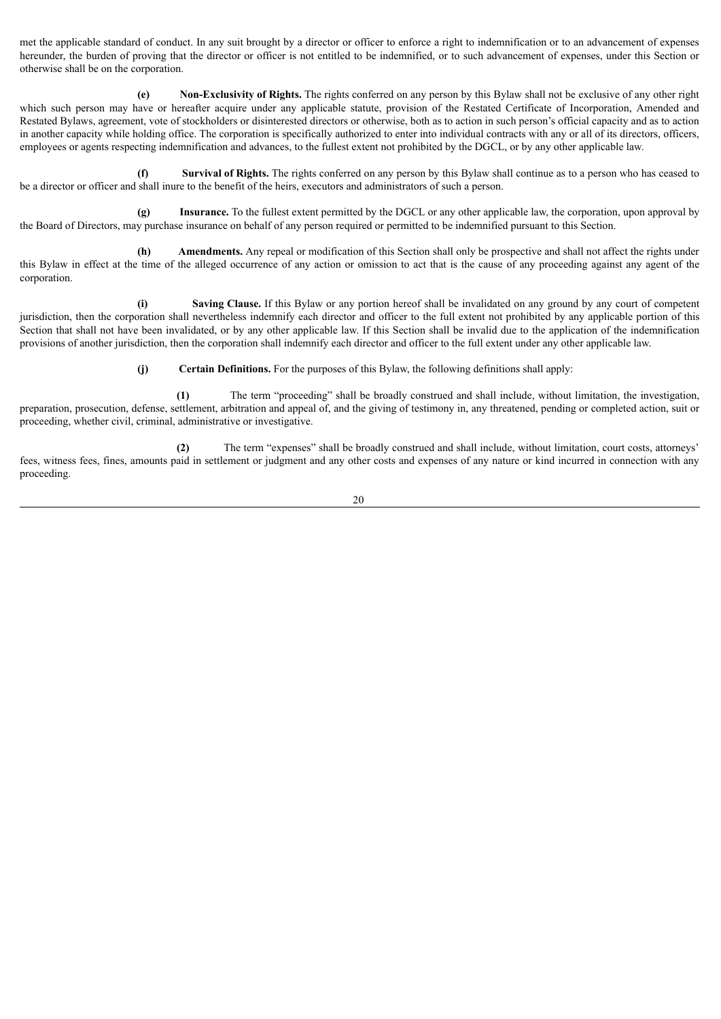met the applicable standard of conduct. In any suit brought by a director or officer to enforce a right to indemnification or to an advancement of expenses hereunder, the burden of proving that the director or officer is not entitled to be indemnified, or to such advancement of expenses, under this Section or otherwise shall be on the corporation.

**(e) Non-Exclusivity of Rights.** The rights conferred on any person by this Bylaw shall not be exclusive of any other right which such person may have or hereafter acquire under any applicable statute, provision of the Restated Certificate of Incorporation, Amended and Restated Bylaws, agreement, vote of stockholders or disinterested directors or otherwise, both as to action in such person's official capacity and as to action in another capacity while holding office. The corporation is specifically authorized to enter into individual contracts with any or all of its directors, officers, employees or agents respecting indemnification and advances, to the fullest extent not prohibited by the DGCL, or by any other applicable law.

**(f) Survival of Rights.** The rights conferred on any person by this Bylaw shall continue as to a person who has ceased to be a director or officer and shall inure to the benefit of the heirs, executors and administrators of such a person.

**(g) Insurance.** To the fullest extent permitted by the DGCL or any other applicable law, the corporation, upon approval by the Board of Directors, may purchase insurance on behalf of any person required or permitted to be indemnified pursuant to this Section.

**(h) Amendments.** Any repeal or modification of this Section shall only be prospective and shall not affect the rights under this Bylaw in effect at the time of the alleged occurrence of any action or omission to act that is the cause of any proceeding against any agent of the corporation.

**(i) Saving Clause.** If this Bylaw or any portion hereof shall be invalidated on any ground by any court of competent jurisdiction, then the corporation shall nevertheless indemnify each director and officer to the full extent not prohibited by any applicable portion of this Section that shall not have been invalidated, or by any other applicable law. If this Section shall be invalid due to the application of the indemnification provisions of another jurisdiction, then the corporation shall indemnify each director and officer to the full extent under any other applicable law.

**(j) Certain Definitions.** For the purposes of this Bylaw, the following definitions shall apply:

**(1)** The term "proceeding" shall be broadly construed and shall include, without limitation, the investigation, preparation, prosecution, defense, settlement, arbitration and appeal of, and the giving of testimony in, any threatened, pending or completed action, suit or proceeding, whether civil, criminal, administrative or investigative.

**(2)** The term "expenses" shall be broadly construed and shall include, without limitation, court costs, attorneys' fees, witness fees, fines, amounts paid in settlement or judgment and any other costs and expenses of any nature or kind incurred in connection with any proceeding.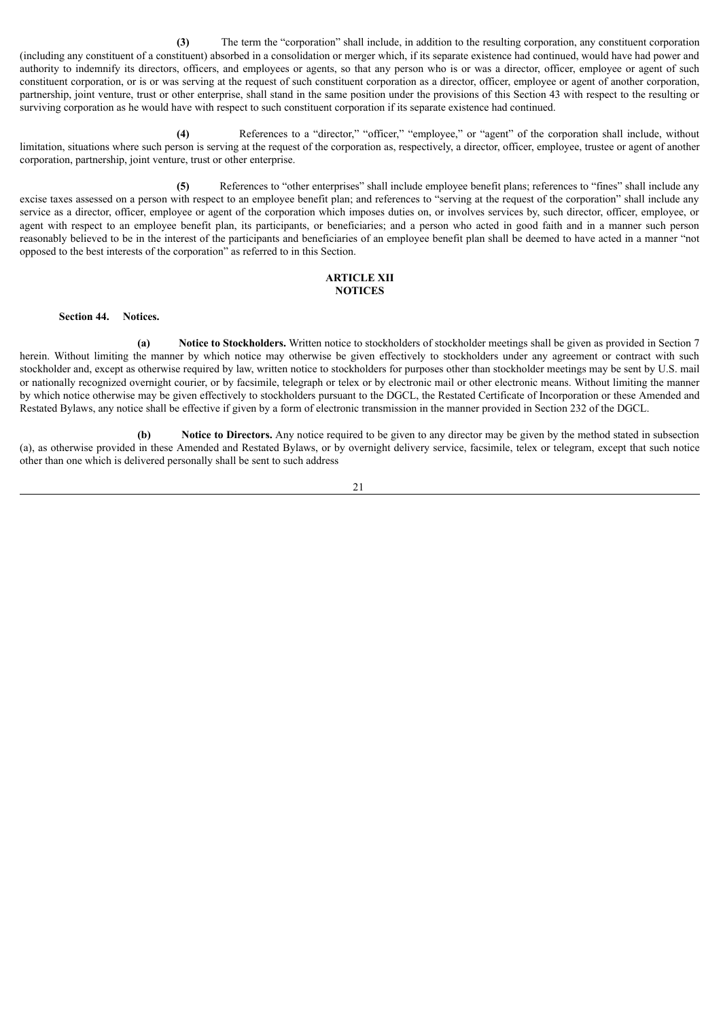**(3)** The term the "corporation" shall include, in addition to the resulting corporation, any constituent corporation (including any constituent of a constituent) absorbed in a consolidation or merger which, if its separate existence had continued, would have had power and authority to indemnify its directors, officers, and employees or agents, so that any person who is or was a director, officer, employee or agent of such constituent corporation, or is or was serving at the request of such constituent corporation as a director, officer, employee or agent of another corporation, partnership, joint venture, trust or other enterprise, shall stand in the same position under the provisions of this Section 43 with respect to the resulting or surviving corporation as he would have with respect to such constituent corporation if its separate existence had continued.

**(4)** References to a "director," "officer," "employee," or "agent" of the corporation shall include, without limitation, situations where such person is serving at the request of the corporation as, respectively, a director, officer, employee, trustee or agent of another corporation, partnership, joint venture, trust or other enterprise.

**(5)** References to "other enterprises" shall include employee benefit plans; references to "fines" shall include any excise taxes assessed on a person with respect to an employee benefit plan; and references to "serving at the request of the corporation" shall include any service as a director, officer, employee or agent of the corporation which imposes duties on, or involves services by, such director, officer, employee, or agent with respect to an employee benefit plan, its participants, or beneficiaries; and a person who acted in good faith and in a manner such person reasonably believed to be in the interest of the participants and beneficiaries of an employee benefit plan shall be deemed to have acted in a manner "not opposed to the best interests of the corporation" as referred to in this Section.

#### **ARTICLE XII NOTICES**

**Section 44. Notices.**

**(a) Notice to Stockholders.** Written notice to stockholders of stockholder meetings shall be given as provided in Section 7 herein. Without limiting the manner by which notice may otherwise be given effectively to stockholders under any agreement or contract with such stockholder and, except as otherwise required by law, written notice to stockholders for purposes other than stockholder meetings may be sent by U.S. mail or nationally recognized overnight courier, or by facsimile, telegraph or telex or by electronic mail or other electronic means. Without limiting the manner by which notice otherwise may be given effectively to stockholders pursuant to the DGCL, the Restated Certificate of Incorporation or these Amended and Restated Bylaws, any notice shall be effective if given by a form of electronic transmission in the manner provided in Section 232 of the DGCL.

**(b) Notice to Directors.** Any notice required to be given to any director may be given by the method stated in subsection (a), as otherwise provided in these Amended and Restated Bylaws, or by overnight delivery service, facsimile, telex or telegram, except that such notice other than one which is delivered personally shall be sent to such address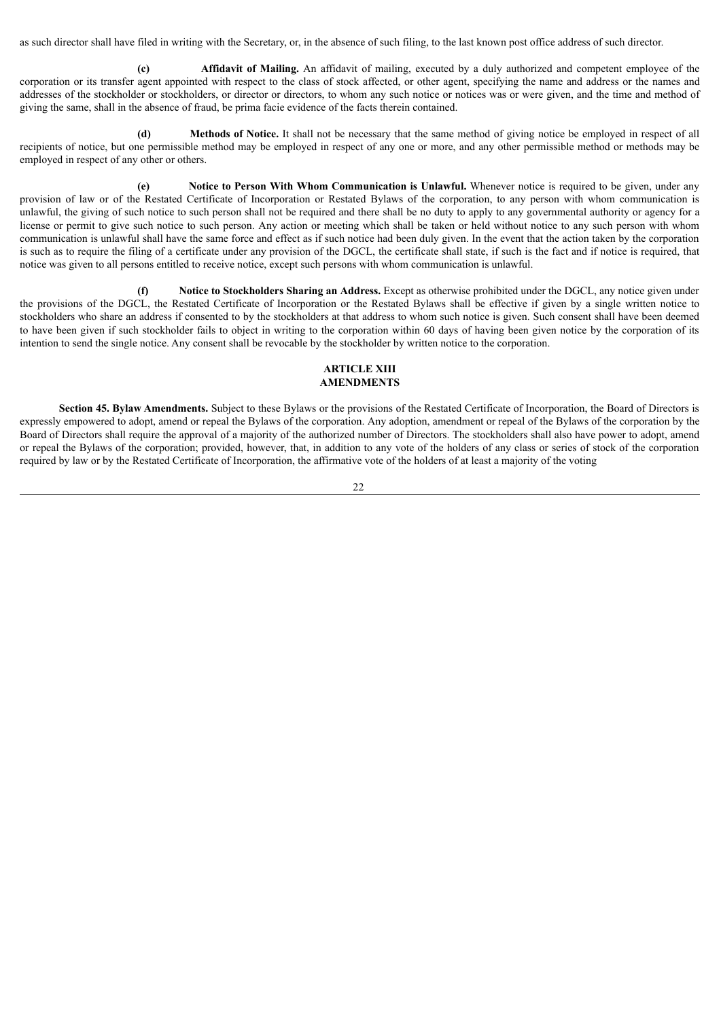as such director shall have filed in writing with the Secretary, or, in the absence of such filing, to the last known post office address of such director.

**(c) Affidavit of Mailing.** An affidavit of mailing, executed by a duly authorized and competent employee of the corporation or its transfer agent appointed with respect to the class of stock affected, or other agent, specifying the name and address or the names and addresses of the stockholder or stockholders, or director or directors, to whom any such notice or notices was or were given, and the time and method of giving the same, shall in the absence of fraud, be prima facie evidence of the facts therein contained.

**(d) Methods of Notice.** It shall not be necessary that the same method of giving notice be employed in respect of all recipients of notice, but one permissible method may be employed in respect of any one or more, and any other permissible method or methods may be employed in respect of any other or others.

**(e) Notice to Person With Whom Communication is Unlawful.** Whenever notice is required to be given, under any provision of law or of the Restated Certificate of Incorporation or Restated Bylaws of the corporation, to any person with whom communication is unlawful, the giving of such notice to such person shall not be required and there shall be no duty to apply to any governmental authority or agency for a license or permit to give such notice to such person. Any action or meeting which shall be taken or held without notice to any such person with whom communication is unlawful shall have the same force and effect as if such notice had been duly given. In the event that the action taken by the corporation is such as to require the filing of a certificate under any provision of the DGCL, the certificate shall state, if such is the fact and if notice is required, that notice was given to all persons entitled to receive notice, except such persons with whom communication is unlawful.

**(f) Notice to Stockholders Sharing an Address.** Except as otherwise prohibited under the DGCL, any notice given under the provisions of the DGCL, the Restated Certificate of Incorporation or the Restated Bylaws shall be effective if given by a single written notice to stockholders who share an address if consented to by the stockholders at that address to whom such notice is given. Such consent shall have been deemed to have been given if such stockholder fails to object in writing to the corporation within 60 days of having been given notice by the corporation of its intention to send the single notice. Any consent shall be revocable by the stockholder by written notice to the corporation.

## **ARTICLE XIII AMENDMENTS**

**Section 45. Bylaw Amendments.** Subject to these Bylaws or the provisions of the Restated Certificate of Incorporation, the Board of Directors is expressly empowered to adopt, amend or repeal the Bylaws of the corporation. Any adoption, amendment or repeal of the Bylaws of the corporation by the Board of Directors shall require the approval of a majority of the authorized number of Directors. The stockholders shall also have power to adopt, amend or repeal the Bylaws of the corporation; provided, however, that, in addition to any vote of the holders of any class or series of stock of the corporation required by law or by the Restated Certificate of Incorporation, the affirmative vote of the holders of at least a majority of the voting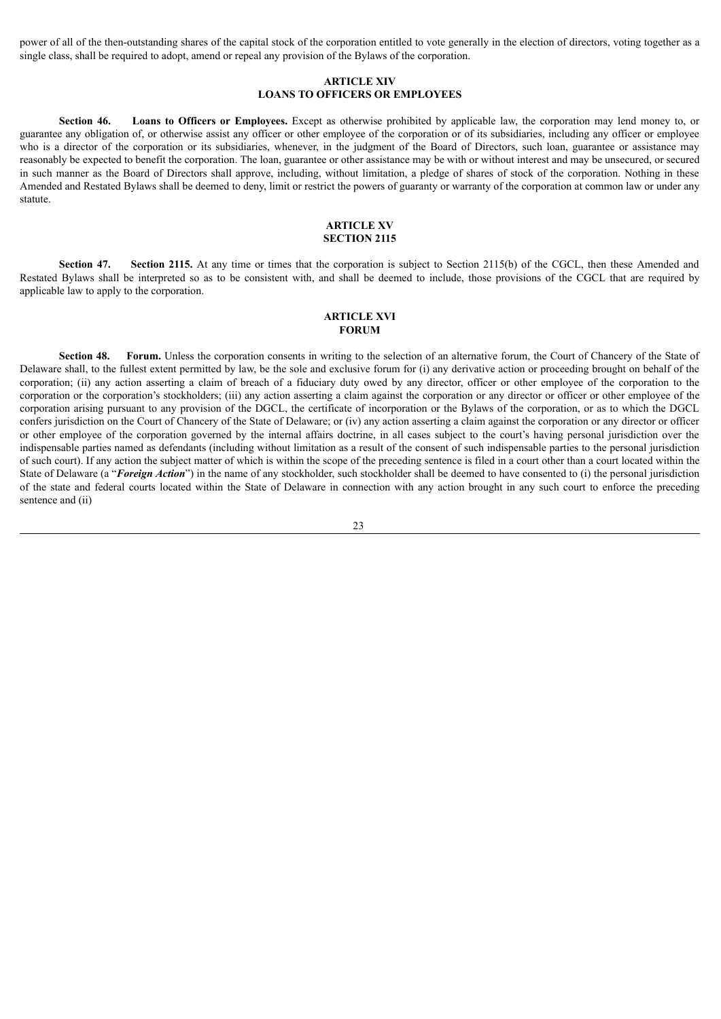power of all of the then-outstanding shares of the capital stock of the corporation entitled to vote generally in the election of directors, voting together as a single class, shall be required to adopt, amend or repeal any provision of the Bylaws of the corporation.

## **ARTICLE XIV LOANS TO OFFICERS OR EMPLOYEES**

**Section 46. Loans to Officers or Employees.** Except as otherwise prohibited by applicable law, the corporation may lend money to, or guarantee any obligation of, or otherwise assist any officer or other employee of the corporation or of its subsidiaries, including any officer or employee who is a director of the corporation or its subsidiaries, whenever, in the judgment of the Board of Directors, such loan, guarantee or assistance may reasonably be expected to benefit the corporation. The loan, guarantee or other assistance may be with or without interest and may be unsecured, or secured in such manner as the Board of Directors shall approve, including, without limitation, a pledge of shares of stock of the corporation. Nothing in these Amended and Restated Bylaws shall be deemed to deny, limit or restrict the powers of guaranty or warranty of the corporation at common law or under any statute.

# **ARTICLE XV SECTION 2115**

**Section 47.** Section 2115. At any time or times that the corporation is subject to Section 2115(b) of the CGCL, then these Amended and Restated Bylaws shall be interpreted so as to be consistent with, and shall be deemed to include, those provisions of the CGCL that are required by applicable law to apply to the corporation.

## **ARTICLE XVI FORUM**

**Section 48.** Forum. Unless the corporation consents in writing to the selection of an alternative forum, the Court of Chancery of the State of Delaware shall, to the fullest extent permitted by law, be the sole and exclusive forum for (i) any derivative action or proceeding brought on behalf of the corporation; (ii) any action asserting a claim of breach of a fiduciary duty owed by any director, officer or other employee of the corporation to the corporation or the corporation's stockholders; (iii) any action asserting a claim against the corporation or any director or officer or other employee of the corporation arising pursuant to any provision of the DGCL, the certificate of incorporation or the Bylaws of the corporation, or as to which the DGCL confers jurisdiction on the Court of Chancery of the State of Delaware; or (iv) any action asserting a claim against the corporation or any director or officer or other employee of the corporation governed by the internal affairs doctrine, in all cases subject to the court's having personal jurisdiction over the indispensable parties named as defendants (including without limitation as a result of the consent of such indispensable parties to the personal jurisdiction of such court). If any action the subject matter of which is within the scope of the preceding sentence is filed in a court other than a court located within the State of Delaware (a "**Foreign Action**") in the name of any stockholder, such stockholder shall be deemed to have consented to (i) the personal jurisdiction of the state and federal courts located within the State of Delaware in connection with any action brought in any such court to enforce the preceding sentence and (ii)